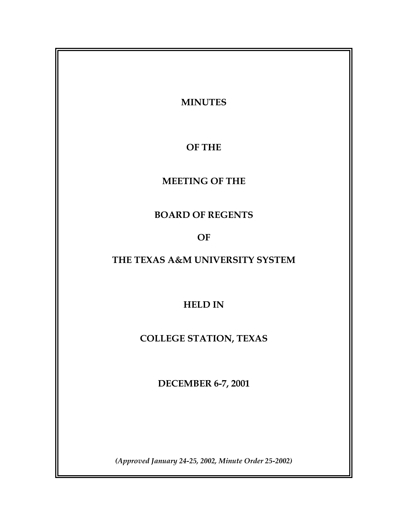**MINUTES OF THE MEETING OF THE BOARD OF REGENTS OF THE TEXAS A&M UNIVERSITY SYSTEM HELD IN COLLEGE STATION, TEXAS DECEMBER 6-7, 2001** 

*(Approved January 24-25, 2002, Minute Order 25-2002)*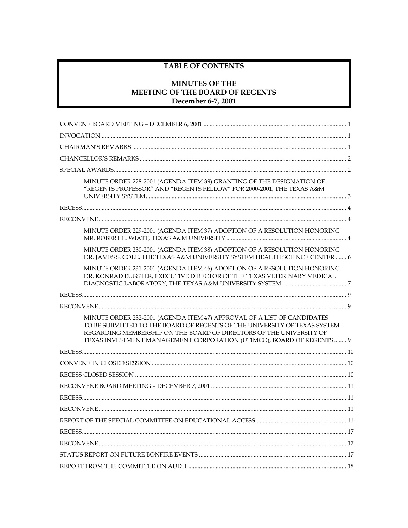# **TABLE OF CONTENTS**

# **MINUTES OF THE** MEETING OF THE BOARD OF REGENTS December 6-7, 2001

| MINUTE ORDER 228-2001 (AGENDA ITEM 39) GRANTING OF THE DESIGNATION OF<br>"REGENTS PROFESSOR" AND "REGENTS FELLOW" FOR 2000-2001, THE TEXAS A&M                                                                                                                                                       |
|------------------------------------------------------------------------------------------------------------------------------------------------------------------------------------------------------------------------------------------------------------------------------------------------------|
|                                                                                                                                                                                                                                                                                                      |
|                                                                                                                                                                                                                                                                                                      |
| MINUTE ORDER 229-2001 (AGENDA ITEM 37) ADOPTION OF A RESOLUTION HONORING                                                                                                                                                                                                                             |
| MINUTE ORDER 230-2001 (AGENDA ITEM 38) ADOPTION OF A RESOLUTION HONORING<br>DR. JAMES S. COLE, THE TEXAS A&M UNIVERSITY SYSTEM HEALTH SCIENCE CENTER  6                                                                                                                                              |
| MINUTE ORDER 231-2001 (AGENDA ITEM 46) ADOPTION OF A RESOLUTION HONORING<br>DR. KONRAD EUGSTER, EXECUTIVE DIRECTOR OF THE TEXAS VETERINARY MEDICAL                                                                                                                                                   |
|                                                                                                                                                                                                                                                                                                      |
|                                                                                                                                                                                                                                                                                                      |
| MINUTE ORDER 232-2001 (AGENDA ITEM 47) APPROVAL OF A LIST OF CANDIDATES<br>TO BE SUBMITTED TO THE BOARD OF REGENTS OF THE UNIVERSITY OF TEXAS SYSTEM<br>REGARDING MEMBERSHIP ON THE BOARD OF DIRECTORS OF THE UNIVERSITY OF<br>TEXAS INVESTMENT MANAGEMENT CORPORATION (UTIMCO), BOARD OF REGENTS  9 |
|                                                                                                                                                                                                                                                                                                      |
|                                                                                                                                                                                                                                                                                                      |
|                                                                                                                                                                                                                                                                                                      |
|                                                                                                                                                                                                                                                                                                      |
|                                                                                                                                                                                                                                                                                                      |
|                                                                                                                                                                                                                                                                                                      |
|                                                                                                                                                                                                                                                                                                      |
|                                                                                                                                                                                                                                                                                                      |
|                                                                                                                                                                                                                                                                                                      |
|                                                                                                                                                                                                                                                                                                      |
|                                                                                                                                                                                                                                                                                                      |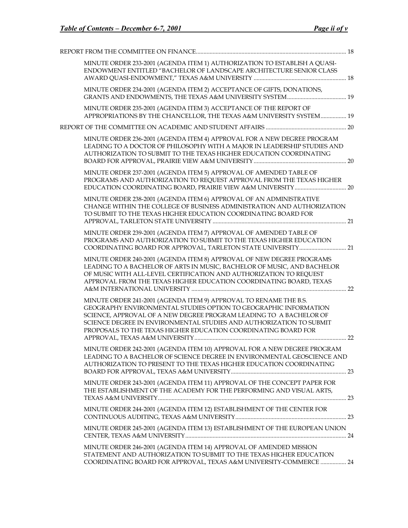| MINUTE ORDER 233-2001 (AGENDA ITEM 1) AUTHORIZATION TO ESTABLISH A QUASI-<br>ENDOWMENT ENTITLED "BACHELOR OF LANDSCAPE ARCHITECTURE SENIOR CLASS                                                                                                                                                                                                     |  |
|------------------------------------------------------------------------------------------------------------------------------------------------------------------------------------------------------------------------------------------------------------------------------------------------------------------------------------------------------|--|
| MINUTE ORDER 234-2001 (AGENDA ITEM 2) ACCEPTANCE OF GIFTS, DONATIONS,                                                                                                                                                                                                                                                                                |  |
| MINUTE ORDER 235-2001 (AGENDA ITEM 3) ACCEPTANCE OF THE REPORT OF<br>APPROPRIATIONS BY THE CHANCELLOR, THE TEXAS A&M UNIVERSITY SYSTEM 19                                                                                                                                                                                                            |  |
|                                                                                                                                                                                                                                                                                                                                                      |  |
| MINUTE ORDER 236-2001 (AGENDA ITEM 4) APPROVAL FOR A NEW DEGREE PROGRAM<br>LEADING TO A DOCTOR OF PHILOSOPHY WITH A MAJOR IN LEADERSHIP STUDIES AND<br>AUTHORIZATION TO SUBMIT TO THE TEXAS HIGHER EDUCATION COORDINATING                                                                                                                            |  |
| MINUTE ORDER 237-2001 (AGENDA ITEM 5) APPROVAL OF AMENDED TABLE OF<br>PROGRAMS AND AUTHORIZATION TO REQUEST APPROVAL FROM THE TEXAS HIGHER                                                                                                                                                                                                           |  |
| MINUTE ORDER 238-2001 (AGENDA ITEM 6) APPROVAL OF AN ADMINISTRATIVE<br>CHANGE WITHIN THE COLLEGE OF BUSINESS ADMINISTRATION AND AUTHORIZATION<br>TO SUBMIT TO THE TEXAS HIGHER EDUCATION COORDINATING BOARD FOR                                                                                                                                      |  |
| MINUTE ORDER 239-2001 (AGENDA ITEM 7) APPROVAL OF AMENDED TABLE OF<br>PROGRAMS AND AUTHORIZATION TO SUBMIT TO THE TEXAS HIGHER EDUCATION                                                                                                                                                                                                             |  |
| MINUTE ORDER 240-2001 (AGENDA ITEM 8) APPROVAL OF NEW DEGREE PROGRAMS<br>LEADING TO A BACHELOR OF ARTS IN MUSIC, BACHELOR OF MUSIC, AND BACHELOR<br>OF MUSIC WITH ALL-LEVEL CERTIFICATION AND AUTHORIZATION TO REQUEST<br>APPROVAL FROM THE TEXAS HIGHER EDUCATION COORDINATING BOARD, TEXAS                                                         |  |
| MINUTE ORDER 241-2001 (AGENDA ITEM 9) APPROVAL TO RENAME THE B.S.<br>GEOGRAPHY ENVIRONMENTAL STUDIES OPTION TO GEOGRAPHIC INFORMATION<br>SCIENCE, APPROVAL OF A NEW DEGREE PROGRAM LEADING TO A BACHELOR OF<br>SCIENCE DEGREE IN ENVIRONMENTAL STUDIES AND AUTHORIZATION TO SUBMIT<br>PROPOSALS TO THE TEXAS HIGHER EDUCATION COORDINATING BOARD FOR |  |
| MINUTE ORDER 242-2001 (AGENDA ITEM 10) APPROVAL FOR A NEW DEGREE PROGRAM<br>LEADING TO A BACHELOR OF SCIENCE DEGREE IN ENVIRONMENTAL GEOSCIENCE AND<br>AUTHORIZATION TO PRESENT TO THE TEXAS HIGHER EDUCATION COORDINATING                                                                                                                           |  |
| MINUTE ORDER 243-2001 (AGENDA ITEM 11) APPROVAL OF THE CONCEPT PAPER FOR<br>THE ESTABLISHMENT OF THE ACADEMY FOR THE PERFORMING AND VISUAL ARTS,                                                                                                                                                                                                     |  |
| MINUTE ORDER 244-2001 (AGENDA ITEM 12) ESTABLISHMENT OF THE CENTER FOR                                                                                                                                                                                                                                                                               |  |
| MINUTE ORDER 245-2001 (AGENDA ITEM 13) ESTABLISHMENT OF THE EUROPEAN UNION                                                                                                                                                                                                                                                                           |  |
| MINUTE ORDER 246-2001 (AGENDA ITEM 14) APPROVAL OF AMENDED MISSION<br>STATEMENT AND AUTHORIZATION TO SUBMIT TO THE TEXAS HIGHER EDUCATION<br>COORDINATING BOARD FOR APPROVAL, TEXAS A&M UNIVERSITY-COMMERCE  24                                                                                                                                      |  |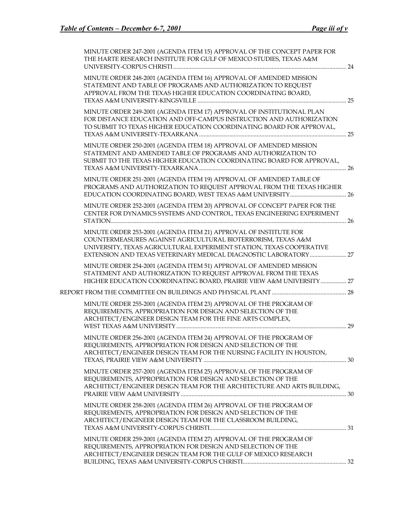| MINUTE ORDER 247-2001 (AGENDA ITEM 15) APPROVAL OF THE CONCEPT PAPER FOR<br>THE HARTE RESEARCH INSTITUTE FOR GULF OF MEXICO STUDIES, TEXAS A&M                                                                                                                               |  |
|------------------------------------------------------------------------------------------------------------------------------------------------------------------------------------------------------------------------------------------------------------------------------|--|
| MINUTE ORDER 248-2001 (AGENDA ITEM 16) APPROVAL OF AMENDED MISSION<br>STATEMENT AND TABLE OF PROGRAMS AND AUTHORIZATION TO REQUEST<br>APPROVAL FROM THE TEXAS HIGHER EDUCATION COORDINATING BOARD,                                                                           |  |
| MINUTE ORDER 249-2001 (AGENDA ITEM 17) APPROVAL OF INSTITUTIONAL PLAN<br>FOR DISTANCE EDUCATION AND OFF-CAMPUS INSTRUCTION AND AUTHORIZATION<br>TO SUBMIT TO TEXAS HIGHER EDUCATION COORDINATING BOARD FOR APPROVAL,                                                         |  |
| MINUTE ORDER 250-2001 (AGENDA ITEM 18) APPROVAL OF AMENDED MISSION<br>STATEMENT AND AMENDED TABLE OF PROGRAMS AND AUTHORIZATION TO<br>SUBMIT TO THE TEXAS HIGHER EDUCATION COORDINATING BOARD FOR APPROVAL,                                                                  |  |
| MINUTE ORDER 251-2001 (AGENDA ITEM 19) APPROVAL OF AMENDED TABLE OF<br>PROGRAMS AND AUTHORIZATION TO REQUEST APPROVAL FROM THE TEXAS HIGHER                                                                                                                                  |  |
| MINUTE ORDER 252-2001 (AGENDA ITEM 20) APPROVAL OF CONCEPT PAPER FOR THE<br>CENTER FOR DYNAMICS SYSTEMS AND CONTROL, TEXAS ENGINEERING EXPERIMENT                                                                                                                            |  |
| MINUTE ORDER 253-2001 (AGENDA ITEM 21) APPROVAL OF INSTITUTE FOR<br>COUNTERMEASURES AGAINST AGRICULTURAL BIOTERRORISM, TEXAS A&M<br>UNIVERSITY, TEXAS AGRICULTURAL EXPERIMENT STATION, TEXAS COOPERATIVE<br>EXTENSION AND TEXAS VETERINARY MEDICAL DIAGNOSTIC LABORATORY  27 |  |
| MINUTE ORDER 254-2001 (AGENDA ITEM 51) APPROVAL OF AMENDED MISSION<br>STATEMENT AND AUTHORIZATION TO REQUEST APPROVAL FROM THE TEXAS<br>HIGHER EDUCATION COORDINATING BOARD, PRAIRIE VIEW A&M UNIVERSITY  27                                                                 |  |
|                                                                                                                                                                                                                                                                              |  |
| MINUTE ORDER 255-2001 (AGENDA ITEM 23) APPROVAL OF THE PROGRAM OF<br>REQUIREMENTS, APPROPRIATION FOR DESIGN AND SELECTION OF THE<br>ARCHITECT/ENGINEER DESIGN TEAM FOR THE FINE ARTS COMPLEX,                                                                                |  |
| MINUTE ORDER 256-2001 (AGENDA ITEM 24) APPROVAL OF THE PROGRAM OF<br>REQUIREMENTS, APPROPRIATION FOR DESIGN AND SELECTION OF THE<br>ARCHITECT/ENGINEER DESIGN TEAM FOR THE NURSING FACILITY IN HOUSTON,                                                                      |  |
| MINUTE ORDER 257-2001 (AGENDA ITEM 25) APPROVAL OF THE PROGRAM OF<br>REQUIREMENTS, APPROPRIATION FOR DESIGN AND SELECTION OF THE<br>ARCHITECT/ENGINEER DESIGN TEAM FOR THE ARCHITECTURE AND ARTS BUILDING,                                                                   |  |
| MINUTE ORDER 258-2001 (AGENDA ITEM 26) APPROVAL OF THE PROGRAM OF<br>REQUIREMENTS, APPROPRIATION FOR DESIGN AND SELECTION OF THE<br>ARCHITECT/ENGINEER DESIGN TEAM FOR THE CLASSROOM BUILDING,                                                                               |  |
| MINUTE ORDER 259-2001 (AGENDA ITEM 27) APPROVAL OF THE PROGRAM OF<br>REQUIREMENTS, APPROPRIATION FOR DESIGN AND SELECTION OF THE<br>ARCHITECT/ENGINEER DESIGN TEAM FOR THE GULF OF MEXICO RESEARCH                                                                           |  |
|                                                                                                                                                                                                                                                                              |  |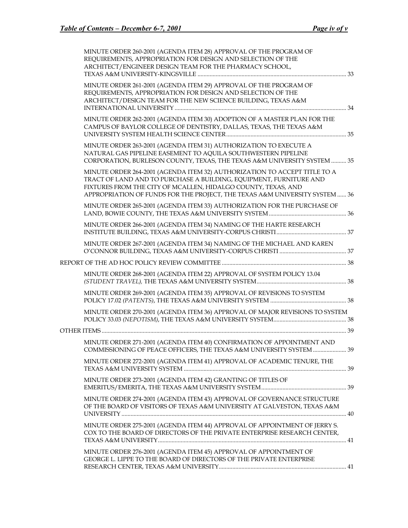|  | MINUTE ORDER 260-2001 (AGENDA ITEM 28) APPROVAL OF THE PROGRAM OF<br>REQUIREMENTS, APPROPRIATION FOR DESIGN AND SELECTION OF THE<br>ARCHITECT/ENGINEER DESIGN TEAM FOR THE PHARMACY SCHOOL,                                                                                                     |  |
|--|-------------------------------------------------------------------------------------------------------------------------------------------------------------------------------------------------------------------------------------------------------------------------------------------------|--|
|  | MINUTE ORDER 261-2001 (AGENDA ITEM 29) APPROVAL OF THE PROGRAM OF<br>REQUIREMENTS, APPROPRIATION FOR DESIGN AND SELECTION OF THE<br>ARCHITECT/DESIGN TEAM FOR THE NEW SCIENCE BUILDING, TEXAS A&M                                                                                               |  |
|  | MINUTE ORDER 262-2001 (AGENDA ITEM 30) ADOPTION OF A MASTER PLAN FOR THE<br>CAMPUS OF BAYLOR COLLEGE OF DENTISTRY, DALLAS, TEXAS, THE TEXAS A&M                                                                                                                                                 |  |
|  | MINUTE ORDER 263-2001 (AGENDA ITEM 31) AUTHORIZATION TO EXECUTE A<br>NATURAL GAS PIPELINE EASEMENT TO AQUILA SOUTHWESTERN PIPELINE<br>CORPORATION, BURLESON COUNTY, TEXAS, THE TEXAS A&M UNIVERSITY SYSTEM  35                                                                                  |  |
|  | MINUTE ORDER 264-2001 (AGENDA ITEM 32) AUTHORIZATION TO ACCEPT TITLE TO A<br>TRACT OF LAND AND TO PURCHASE A BUILDING, EQUIPMENT, FURNITURE AND<br>FIXTURES FROM THE CITY OF MCALLEN, HIDALGO COUNTY, TEXAS, AND<br>APPROPRIATION OF FUNDS FOR THE PROJECT, THE TEXAS A&M UNIVERSITY SYSTEM  36 |  |
|  | MINUTE ORDER 265-2001 (AGENDA ITEM 33) AUTHORIZATION FOR THE PURCHASE OF                                                                                                                                                                                                                        |  |
|  | MINUTE ORDER 266-2001 (AGENDA ITEM 34) NAMING OF THE HARTE RESEARCH                                                                                                                                                                                                                             |  |
|  | MINUTE ORDER 267-2001 (AGENDA ITEM 34) NAMING OF THE MICHAEL AND KAREN                                                                                                                                                                                                                          |  |
|  |                                                                                                                                                                                                                                                                                                 |  |
|  | MINUTE ORDER 268-2001 (AGENDA ITEM 22) APPROVAL OF SYSTEM POLICY 13.04                                                                                                                                                                                                                          |  |
|  | MINUTE ORDER 269-2001 (AGENDA ITEM 35) APPROVAL OF REVISIONS TO SYSTEM                                                                                                                                                                                                                          |  |
|  | MINUTE ORDER 270-2001 (AGENDA ITEM 36) APPROVAL OF MAJOR REVISIONS TO SYSTEM                                                                                                                                                                                                                    |  |
|  |                                                                                                                                                                                                                                                                                                 |  |
|  | MINUTE ORDER 271-2001 (AGENDA ITEM 40) CONFIRMATION OF APPOINTMENT AND<br>COMMISSIONING OF PEACE OFFICERS, THE TEXAS A&M UNIVERSITY SYSTEM  39                                                                                                                                                  |  |
|  | MINUTE ORDER 272-2001 (AGENDA ITEM 41) APPROVAL OF ACADEMIC TENURE, THE                                                                                                                                                                                                                         |  |
|  | MINUTE ORDER 273-2001 (AGENDA ITEM 42) GRANTING OF TITLES OF                                                                                                                                                                                                                                    |  |
|  | MINUTE ORDER 274-2001 (AGENDA ITEM 43) APPROVAL OF GOVERNANCE STRUCTURE<br>OF THE BOARD OF VISITORS OF TEXAS A&M UNIVERSITY AT GALVESTON, TEXAS A&M                                                                                                                                             |  |
|  | MINUTE ORDER 275-2001 (AGENDA ITEM 44) APPROVAL OF APPOINTMENT OF JERRY S.<br>COX TO THE BOARD OF DIRECTORS OF THE PRIVATE ENTERPRISE RESEARCH CENTER,                                                                                                                                          |  |
|  | MINUTE ORDER 276-2001 (AGENDA ITEM 45) APPROVAL OF APPOINTMENT OF<br>GEORGE L. LIPPE TO THE BOARD OF DIRECTORS OF THE PRIVATE ENTERPRISE                                                                                                                                                        |  |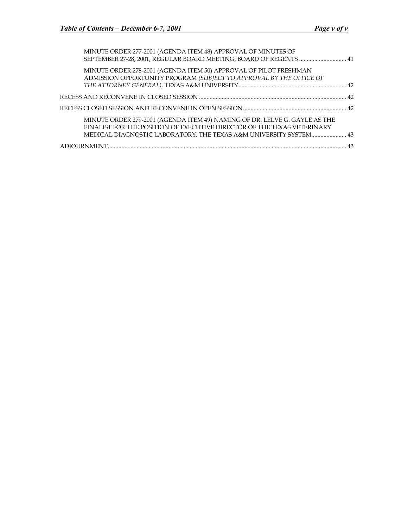| MINUTE ORDER 277-2001 (AGENDA ITEM 48) APPROVAL OF MINUTES OF<br>SEPTEMBER 27-28, 2001, REGULAR BOARD MEETING, BOARD OF REGENTS  41                                                                                        |  |
|----------------------------------------------------------------------------------------------------------------------------------------------------------------------------------------------------------------------------|--|
| MINUTE ORDER 278-2001 (AGENDA ITEM 50) APPROVAL OF PILOT FRESHMAN<br>ADMISSION OPPORTUNITY PROGRAM (SUBJECT TO APPROVAL BY THE OFFICE OF                                                                                   |  |
|                                                                                                                                                                                                                            |  |
|                                                                                                                                                                                                                            |  |
| MINUTE ORDER 279-2001 (AGENDA ITEM 49) NAMING OF DR. LELVE G. GAYLE AS THE<br>FINALIST FOR THE POSITION OF EXECUTIVE DIRECTOR OF THE TEXAS VETERINARY<br>MEDICAL DIAGNOSTIC LABORATORY, THE TEXAS A&M UNIVERSITY SYSTEM 43 |  |
|                                                                                                                                                                                                                            |  |
|                                                                                                                                                                                                                            |  |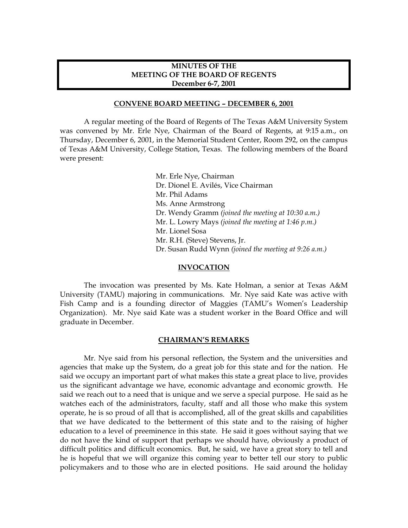### **MINUTES OF THE MEETING OF THE BOARD OF REGENTS December 6-7, 2001**

#### **CONVENE BOARD MEETING – DECEMBER 6, 2001**

<span id="page-6-0"></span> A regular meeting of the Board of Regents of The Texas A&M University System was convened by Mr. Erle Nye, Chairman of the Board of Regents, at 9:15 a.m., on Thursday, December 6, 2001, in the Memorial Student Center, Room 292, on the campus of Texas A&M University, College Station, Texas. The following members of the Board were present:

> Mr. Erle Nye, Chairman Dr. Dionel E. Avilés, Vice Chairman Mr. Phil Adams Ms. Anne Armstrong Dr. Wendy Gramm *(joined the meeting at 10:30 a.m.)* Mr. L. Lowry Mays *(joined the meeting at 1:46 p.m.)* Mr. Lionel Sosa Mr. R.H. (Steve) Stevens, Jr. Dr. Susan Rudd Wynn *(joined the meeting at 9:26 a.m.)*

#### **INVOCATION**

The invocation was presented by Ms. Kate Holman, a senior at Texas A&M University (TAMU) majoring in communications. Mr. Nye said Kate was active with Fish Camp and is a founding director of Maggies (TAMU's Women's Leadership Organization). Mr. Nye said Kate was a student worker in the Board Office and will graduate in December.

#### **CHAIRMAN'S REMARKS**

 Mr. Nye said from his personal reflection, the System and the universities and agencies that make up the System, do a great job for this state and for the nation. He said we occupy an important part of what makes this state a great place to live, provides us the significant advantage we have, economic advantage and economic growth. He said we reach out to a need that is unique and we serve a special purpose. He said as he watches each of the administrators, faculty, staff and all those who make this system operate, he is so proud of all that is accomplished, all of the great skills and capabilities that we have dedicated to the betterment of this state and to the raising of higher education to a level of preeminence in this state. He said it goes without saying that we do not have the kind of support that perhaps we should have, obviously a product of difficult politics and difficult economics. But, he said, we have a great story to tell and he is hopeful that we will organize this coming year to better tell our story to public policymakers and to those who are in elected positions. He said around the holiday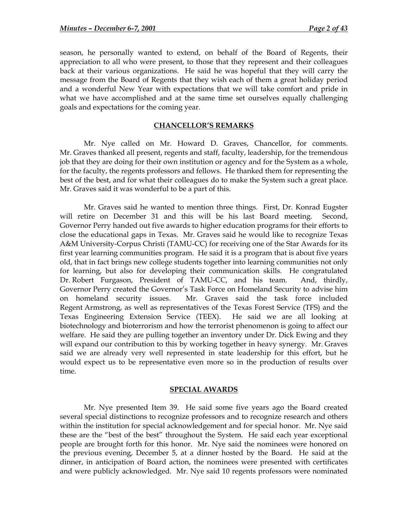<span id="page-7-0"></span>season, he personally wanted to extend, on behalf of the Board of Regents, their appreciation to all who were present, to those that they represent and their colleagues back at their various organizations. He said he was hopeful that they will carry the message from the Board of Regents that they wish each of them a great holiday period and a wonderful New Year with expectations that we will take comfort and pride in what we have accomplished and at the same time set ourselves equally challenging goals and expectations for the coming year.

#### **CHANCELLOR'S REMARKS**

 Mr. Nye called on Mr. Howard D. Graves, Chancellor, for comments. Mr. Graves thanked all present, regents and staff, faculty, leadership, for the tremendous job that they are doing for their own institution or agency and for the System as a whole, for the faculty, the regents professors and fellows. He thanked them for representing the best of the best, and for what their colleagues do to make the System such a great place. Mr. Graves said it was wonderful to be a part of this.

Mr. Graves said he wanted to mention three things. First, Dr. Konrad Eugster will retire on December 31 and this will be his last Board meeting. Second, Governor Perry handed out five awards to higher education programs for their efforts to close the educational gaps in Texas. Mr. Graves said he would like to recognize Texas A&M University-Corpus Christi (TAMU-CC) for receiving one of the Star Awards for its first year learning communities program. He said it is a program that is about five years old, that in fact brings new college students together into learning communities not only for learning, but also for developing their communication skills. He congratulated Dr. Robert Furgason, President of TAMU-CC, and his team. And, thirdly, Governor Perry created the Governor's Task Force on Homeland Security to advise him on homeland security issues. Mr. Graves said the task force included Regent Armstrong, as well as representatives of the Texas Forest Service (TFS) and the Texas Engineering Extension Service (TEEX). He said we are all looking at biotechnology and bioterrorism and how the terrorist phenomenon is going to affect our welfare. He said they are pulling together an inventory under Dr. Dick Ewing and they will expand our contribution to this by working together in heavy synergy. Mr. Graves said we are already very well represented in state leadership for this effort, but he would expect us to be representative even more so in the production of results over time.

#### **SPECIAL AWARDS**

 Mr. Nye presented Item 39. He said some five years ago the Board created several special distinctions to recognize professors and to recognize research and others within the institution for special acknowledgement and for special honor. Mr. Nye said these are the "best of the best" throughout the System. He said each year exceptional people are brought forth for this honor. Mr. Nye said the nominees were honored on the previous evening, December 5, at a dinner hosted by the Board. He said at the dinner, in anticipation of Board action, the nominees were presented with certificates and were publicly acknowledged. Mr. Nye said 10 regents professors were nominated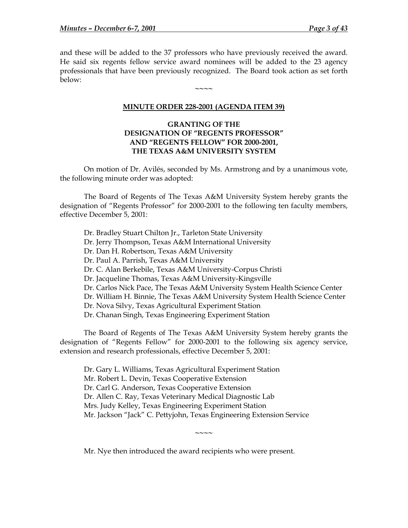<span id="page-8-0"></span>and these will be added to the 37 professors who have previously received the award. He said six regents fellow service award nominees will be added to the 23 agency professionals that have been previously recognized. The Board took action as set forth below:

**~~~~** 

### **MINUTE ORDER 228-2001 (AGENDA ITEM 39)**

## **GRANTING OF THE DESIGNATION OF "REGENTS PROFESSOR" AND "REGENTS FELLOW" FOR 2000-2001, THE TEXAS A&M UNIVERSITY SYSTEM**

On motion of Dr. Avilés, seconded by Ms. Armstrong and by a unanimous vote, the following minute order was adopted:

The Board of Regents of The Texas A&M University System hereby grants the designation of "Regents Professor" for 2000-2001 to the following ten faculty members, effective December 5, 2001:

Dr. Bradley Stuart Chilton Jr., Tarleton State University Dr. Jerry Thompson, Texas A&M International University Dr. Dan H. Robertson, Texas A&M University Dr. Paul A. Parrish, Texas A&M University Dr. C. Alan Berkebile, Texas A&M University-Corpus Christi Dr. Jacqueline Thomas, Texas A&M University-Kingsville Dr. Carlos Nick Pace, The Texas A&M University System Health Science Center Dr. William H. Binnie, The Texas A&M University System Health Science Center Dr. Nova Silvy, Texas Agricultural Experiment Station Dr. Chanan Singh, Texas Engineering Experiment Station

The Board of Regents of The Texas A&M University System hereby grants the designation of "Regents Fellow" for 2000-2001 to the following six agency service, extension and research professionals, effective December 5, 2001:

Dr. Gary L. Williams, Texas Agricultural Experiment Station Mr. Robert L. Devin, Texas Cooperative Extension Dr. Carl G. Anderson, Texas Cooperative Extension Dr. Allen C. Ray, Texas Veterinary Medical Diagnostic Lab Mrs. Judy Kelley, Texas Engineering Experiment Station Mr. Jackson "Jack" C. Pettyjohn, Texas Engineering Extension Service

**~~~~** 

Mr. Nye then introduced the award recipients who were present.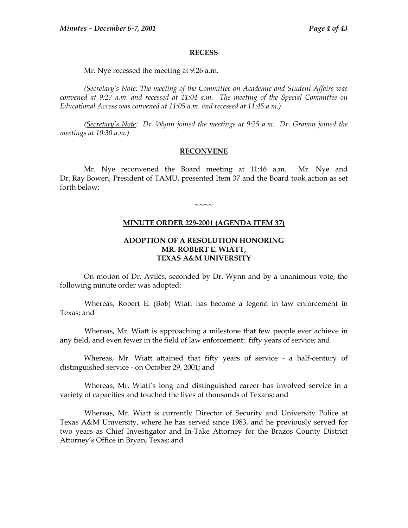### **RECESS**

Mr. Nye recessed the meeting at 9:26 a.m.

<span id="page-9-0"></span>*(Secretary's Note: The meeting of the Committee on Academic and Student Affairs was convened at 9:27 a.m. and recessed at 11:04 a.m. The meeting of the Special Committee on Educational Access was convened at 11:05 a.m. and recessed at 11:45 a.m.)* 

*(Secretary's Note: Dr. Wynn joined the meetings at 9:25 a.m. Dr. Gramm joined the meetings at 10:30 a.m.)* 

### **RECONVENE**

 Mr. Nye reconvened the Board meeting at 11:46 a.m. Mr. Nye and Dr. Ray Bowen, President of TAMU, presented Item 37 and the Board took action as set forth below:

**MINUTE ORDER 229-2001 (AGENDA ITEM 37)**

**~~~~** 

## **ADOPTION OF A RESOLUTION HONORING MR. ROBERT E. WIATT, TEXAS A&M UNIVERSITY**

 On motion of Dr. Avilés, seconded by Dr. Wynn and by a unanimous vote, the following minute order was adopted:

Whereas, Robert E. (Bob) Wiatt has become a legend in law enforcement in Texas; and

Whereas, Mr. Wiatt is approaching a milestone that few people ever achieve in any field, and even fewer in the field of law enforcement: fifty years of service; and

Whereas, Mr. Wiatt attained that fifty years of service - a half-century of distinguished service - on October 29, 2001; and

Whereas, Mr. Wiatt's long and distinguished career has involved service in a variety of capacities and touched the lives of thousands of Texans; and

Whereas, Mr. Wiatt is currently Director of Security and University Police at Texas A&M University, where he has served since 1983, and he previously served for two years as Chief Investigator and In-Take Attorney for the Brazos County District Attorney's Office in Bryan, Texas; and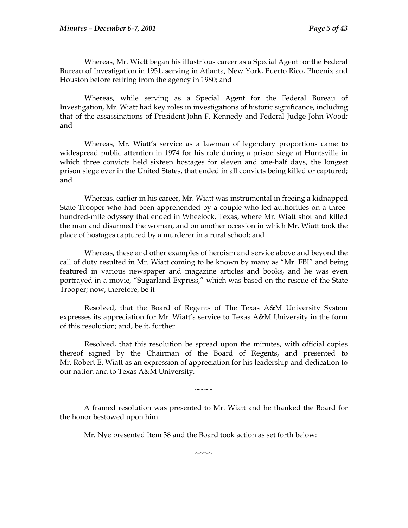Whereas, Mr. Wiatt began his illustrious career as a Special Agent for the Federal Bureau of Investigation in 1951, serving in Atlanta, New York, Puerto Rico, Phoenix and Houston before retiring from the agency in 1980; and

Whereas, while serving as a Special Agent for the Federal Bureau of Investigation, Mr. Wiatt had key roles in investigations of historic significance, including that of the assassinations of President John F. Kennedy and Federal Judge John Wood; and

Whereas, Mr. Wiatt's service as a lawman of legendary proportions came to widespread public attention in 1974 for his role during a prison siege at Huntsville in which three convicts held sixteen hostages for eleven and one-half days, the longest prison siege ever in the United States, that ended in all convicts being killed or captured; and

Whereas, earlier in his career, Mr. Wiatt was instrumental in freeing a kidnapped State Trooper who had been apprehended by a couple who led authorities on a threehundred-mile odyssey that ended in Wheelock, Texas, where Mr. Wiatt shot and killed the man and disarmed the woman, and on another occasion in which Mr. Wiatt took the place of hostages captured by a murderer in a rural school; and

Whereas, these and other examples of heroism and service above and beyond the call of duty resulted in Mr. Wiatt coming to be known by many as "Mr. FBI" and being featured in various newspaper and magazine articles and books, and he was even portrayed in a movie, "Sugarland Express," which was based on the rescue of the State Trooper; now, therefore, be it

Resolved, that the Board of Regents of The Texas A&M University System expresses its appreciation for Mr. Wiatt's service to Texas A&M University in the form of this resolution; and, be it, further

Resolved, that this resolution be spread upon the minutes, with official copies thereof signed by the Chairman of the Board of Regents, and presented to Mr. Robert E. Wiatt as an expression of appreciation for his leadership and dedication to our nation and to Texas A&M University.

 A framed resolution was presented to Mr. Wiatt and he thanked the Board for the honor bestowed upon him.

**~~~~** 

Mr. Nye presented Item 38 and the Board took action as set forth below:

**~~~~**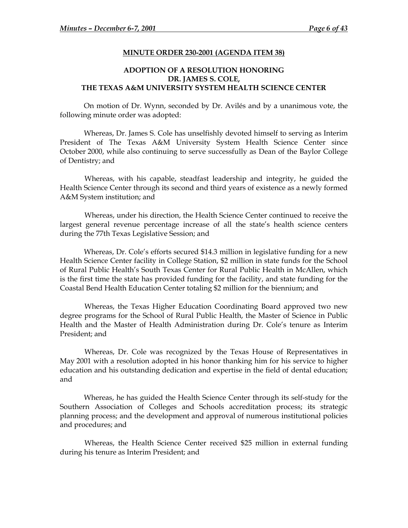#### **MINUTE ORDER 230-2001 (AGENDA ITEM 38)**

# <span id="page-11-0"></span>**ADOPTION OF A RESOLUTION HONORING DR. JAMES S. COLE, THE TEXAS A&M UNIVERSITY SYSTEM HEALTH SCIENCE CENTER**

On motion of Dr. Wynn, seconded by Dr. Avilés and by a unanimous vote, the following minute order was adopted:

Whereas, Dr. James S. Cole has unselfishly devoted himself to serving as Interim President of The Texas A&M University System Health Science Center since October 2000, while also continuing to serve successfully as Dean of the Baylor College of Dentistry; and

Whereas, with his capable, steadfast leadership and integrity, he guided the Health Science Center through its second and third years of existence as a newly formed A&M System institution; and

Whereas, under his direction, the Health Science Center continued to receive the largest general revenue percentage increase of all the state's health science centers during the 77th Texas Legislative Session; and

Whereas, Dr. Cole's efforts secured \$14.3 million in legislative funding for a new Health Science Center facility in College Station, \$2 million in state funds for the School of Rural Public Health's South Texas Center for Rural Public Health in McAllen, which is the first time the state has provided funding for the facility, and state funding for the Coastal Bend Health Education Center totaling \$2 million for the biennium; and

Whereas, the Texas Higher Education Coordinating Board approved two new degree programs for the School of Rural Public Health, the Master of Science in Public Health and the Master of Health Administration during Dr. Cole's tenure as Interim President; and

Whereas, Dr. Cole was recognized by the Texas House of Representatives in May 2001 with a resolution adopted in his honor thanking him for his service to higher education and his outstanding dedication and expertise in the field of dental education; and

Whereas, he has guided the Health Science Center through its self-study for the Southern Association of Colleges and Schools accreditation process; its strategic planning process; and the development and approval of numerous institutional policies and procedures; and

Whereas, the Health Science Center received \$25 million in external funding during his tenure as Interim President; and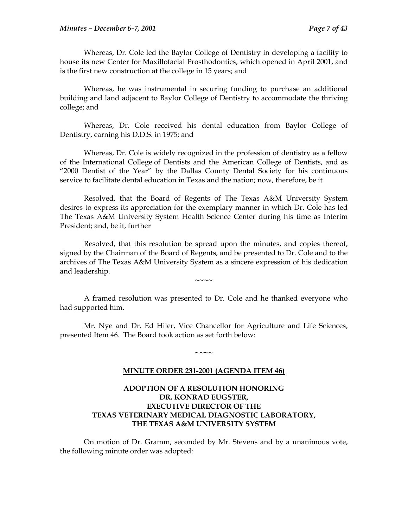<span id="page-12-0"></span>Whereas, Dr. Cole led the Baylor College of Dentistry in developing a facility to house its new Center for Maxillofacial Prosthodontics, which opened in April 2001, and is the first new construction at the college in 15 years; and

Whereas, he was instrumental in securing funding to purchase an additional building and land adjacent to Baylor College of Dentistry to accommodate the thriving college; and

Whereas, Dr. Cole received his dental education from Baylor College of Dentistry, earning his D.D.S. in 1975; and

Whereas, Dr. Cole is widely recognized in the profession of dentistry as a fellow of the International College of Dentists and the American College of Dentists, and as "2000 Dentist of the Year" by the Dallas County Dental Society for his continuous service to facilitate dental education in Texas and the nation; now, therefore, be it

Resolved, that the Board of Regents of The Texas A&M University System desires to express its appreciation for the exemplary manner in which Dr. Cole has led The Texas A&M University System Health Science Center during his time as Interim President; and, be it, further

Resolved, that this resolution be spread upon the minutes, and copies thereof, signed by the Chairman of the Board of Regents, and be presented to Dr. Cole and to the archives of The Texas A&M University System as a sincere expression of his dedication and leadership.

**~~~~** 

 A framed resolution was presented to Dr. Cole and he thanked everyone who had supported him.

 Mr. Nye and Dr. Ed Hiler, Vice Chancellor for Agriculture and Life Sciences, presented Item 46. The Board took action as set forth below:

### **MINUTE ORDER 231-2001 (AGENDA ITEM 46)**

**~~~~** 

# **ADOPTION OF A RESOLUTION HONORING DR. KONRAD EUGSTER, EXECUTIVE DIRECTOR OF THE TEXAS VETERINARY MEDICAL DIAGNOSTIC LABORATORY, THE TEXAS A&M UNIVERSITY SYSTEM**

 On motion of Dr. Gramm, seconded by Mr. Stevens and by a unanimous vote, the following minute order was adopted: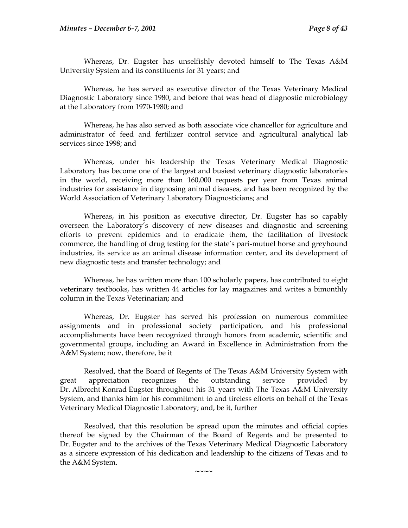Whereas, Dr. Eugster has unselfishly devoted himself to The Texas A&M University System and its constituents for 31 years; and

Whereas, he has served as executive director of the Texas Veterinary Medical Diagnostic Laboratory since 1980, and before that was head of diagnostic microbiology at the Laboratory from 1970-1980; and

Whereas, he has also served as both associate vice chancellor for agriculture and administrator of feed and fertilizer control service and agricultural analytical lab services since 1998; and

Whereas, under his leadership the Texas Veterinary Medical Diagnostic Laboratory has become one of the largest and busiest veterinary diagnostic laboratories in the world, receiving more than 160,000 requests per year from Texas animal industries for assistance in diagnosing animal diseases, and has been recognized by the World Association of Veterinary Laboratory Diagnosticians; and

Whereas, in his position as executive director, Dr. Eugster has so capably overseen the Laboratory's discovery of new diseases and diagnostic and screening efforts to prevent epidemics and to eradicate them, the facilitation of livestock commerce, the handling of drug testing for the state's pari-mutuel horse and greyhound industries, its service as an animal disease information center, and its development of new diagnostic tests and transfer technology; and

Whereas, he has written more than 100 scholarly papers, has contributed to eight veterinary textbooks, has written 44 articles for lay magazines and writes a bimonthly column in the Texas Veterinarian; and

Whereas, Dr. Eugster has served his profession on numerous committee assignments and in professional society participation, and his professional accomplishments have been recognized through honors from academic, scientific and governmental groups, including an Award in Excellence in Administration from the A&M System; now, therefore, be it

Resolved, that the Board of Regents of The Texas A&M University System with great appreciation recognizes the outstanding service provided by Dr. Albrecht Konrad Eugster throughout his 31 years with The Texas A&M University System, and thanks him for his commitment to and tireless efforts on behalf of the Texas Veterinary Medical Diagnostic Laboratory; and, be it, further

Resolved, that this resolution be spread upon the minutes and official copies thereof be signed by the Chairman of the Board of Regents and be presented to Dr. Eugster and to the archives of the Texas Veterinary Medical Diagnostic Laboratory as a sincere expression of his dedication and leadership to the citizens of Texas and to the A&M System.

**~~~~**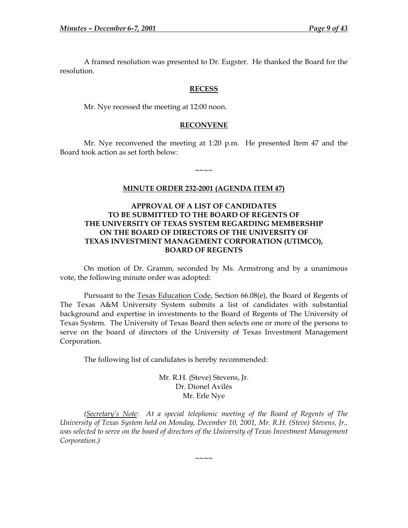<span id="page-14-0"></span> A framed resolution was presented to Dr. Eugster. He thanked the Board for the resolution.

### **RECESS**

Mr. Nye recessed the meeting at 12:00 noon.

### **RECONVENE**

 Mr. Nye reconvened the meeting at 1:20 p.m. He presented Item 47 and the Board took action as set forth below:

**~~~~** 

### **MINUTE ORDER 232-2001 (AGENDA ITEM 47)**

## **APPROVAL OF A LIST OF CANDIDATES TO BE SUBMITTED TO THE BOARD OF REGENTS OF THE UNIVERSITY OF TEXAS SYSTEM REGARDING MEMBERSHIP ON THE BOARD OF DIRECTORS OF THE UNIVERSITY OF TEXAS INVESTMENT MANAGEMENT CORPORATION (UTIMCO), BOARD OF REGENTS**

 On motion of Dr. Gramm, seconded by Ms. Armstrong and by a unanimous vote, the following minute order was adopted:

Pursuant to the Texas Education Code, Section 66.08(e), the Board of Regents of The Texas A&M University System submits a list of candidates with substantial background and expertise in investments to the Board of Regents of The University of Texas System. The University of Texas Board then selects one or more of the persons to serve on the board of directors of the University of Texas Investment Management Corporation.

The following list of candidates is hereby recommended:

Mr. R.H. (Steve) Stevens, Jr. Dr. Dionel Avilés Mr. Erle Nye

 *(Secretary's Note: At a special telephonic meeting of the Board of Regents of The University of Texas System held on Monday, December 10, 2001, Mr. R.H. (Steve) Stevens, Jr., was selected to serve on the board of directors of the University of Texas Investment Management Corporation.)* 

**~~~~**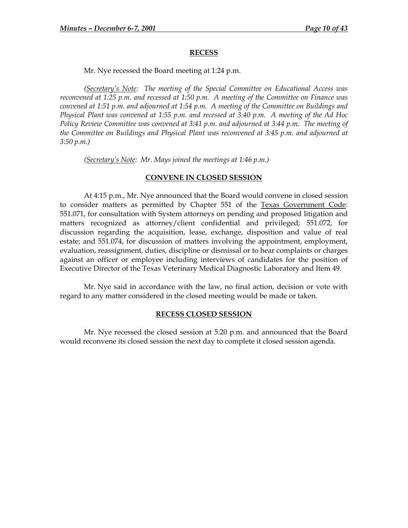#### **RECESS**

Mr. Nye recessed the Board meeting at 1:24 p.m.

<span id="page-15-0"></span>*(Secretary's Note: The meeting of the Special Committee on Educational Access was reconvened at 1:25 p.m. and recessed at 1:50 p.m. A meeting of the Committee on Finance was convened at 1:51 p.m. and adjourned at 1:54 p.m. A meeting of the Committee on Buildings and Physical Plant was convened at 1:55 p.m. and recessed at 3:40 p.m. A meeting of the Ad Hoc Policy Review Committee was convened at 3:41 p.m. and adjourned at 3:44 p.m. The meeting of the Committee on Buildings and Physical Plant was reconvened at 3:45 p.m. and adjourned at 3:50 p.m.)* 

 *(Secretary's Note: Mr. Mays joined the meetings at 1:46 p.m.)* 

#### **CONVENE IN CLOSED SESSION**

 At 4:15 p.m., Mr. Nye announced that the Board would convene in closed session to consider matters as permitted by Chapter 551 of the Texas Government Code: 551.071, for consultation with System attorneys on pending and proposed litigation and matters recognized as attorney/client confidential and privileged; 551.072, for discussion regarding the acquisition, lease, exchange, disposition and value of real estate; and 551.074, for discussion of matters involving the appointment, employment, evaluation, reassignment, duties, discipline or dismissal or to hear complaints or charges against an officer or employee including interviews of candidates for the position of Executive Director of the Texas Veterinary Medical Diagnostic Laboratory and Item 49.

Mr. Nye said in accordance with the law, no final action, decision or vote with regard to any matter considered in the closed meeting would be made or taken.

#### **RECESS CLOSED SESSION**

 Mr. Nye recessed the closed session at 5:20 p.m. and announced that the Board would reconvene its closed session the next day to complete it closed session agenda.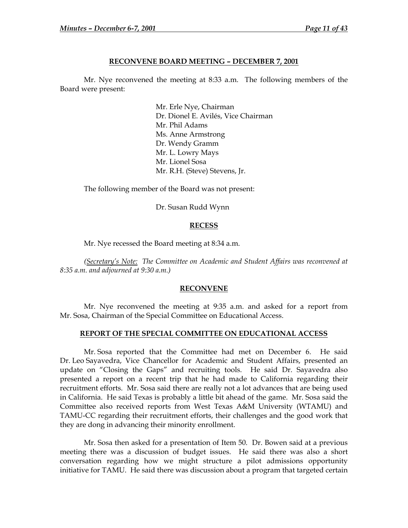#### **RECONVENE BOARD MEETING – DECEMBER 7, 2001**

<span id="page-16-0"></span> Mr. Nye reconvened the meeting at 8:33 a.m. The following members of the Board were present:

> Mr. Erle Nye, Chairman Dr. Dionel E. Avilés, Vice Chairman Mr. Phil Adams Ms. Anne Armstrong Dr. Wendy Gramm Mr. L. Lowry Mays Mr. Lionel Sosa Mr. R.H. (Steve) Stevens, Jr.

The following member of the Board was not present:

Dr. Susan Rudd Wynn

#### **RECESS**

Mr. Nye recessed the Board meeting at 8:34 a.m.

 *(Secretary's Note: The Committee on Academic and Student Affairs was reconvened at 8:35 a.m. and adjourned at 9:30 a.m.)* 

#### **RECONVENE**

 Mr. Nye reconvened the meeting at 9:35 a.m. and asked for a report from Mr. Sosa, Chairman of the Special Committee on Educational Access.

#### **REPORT OF THE SPECIAL COMMITTEE ON EDUCATIONAL ACCESS**

 Mr. Sosa reported that the Committee had met on December 6. He said Dr. Leo Sayavedra, Vice Chancellor for Academic and Student Affairs, presented an update on "Closing the Gaps" and recruiting tools. He said Dr. Sayavedra also presented a report on a recent trip that he had made to California regarding their recruitment efforts. Mr. Sosa said there are really not a lot advances that are being used in California. He said Texas is probably a little bit ahead of the game. Mr. Sosa said the Committee also received reports from West Texas A&M University (WTAMU) and TAMU-CC regarding their recruitment efforts, their challenges and the good work that they are dong in advancing their minority enrollment.

Mr. Sosa then asked for a presentation of Item 50. Dr. Bowen said at a previous meeting there was a discussion of budget issues. He said there was also a short conversation regarding how we might structure a pilot admissions opportunity initiative for TAMU. He said there was discussion about a program that targeted certain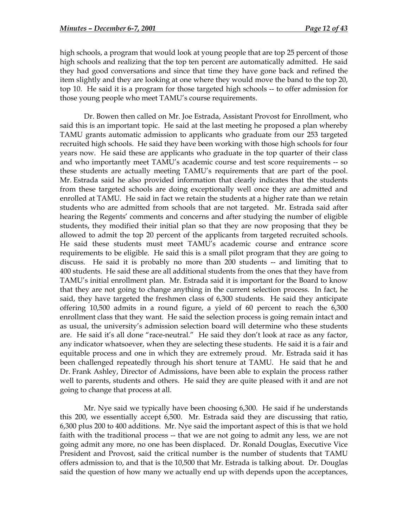high schools, a program that would look at young people that are top 25 percent of those high schools and realizing that the top ten percent are automatically admitted. He said they had good conversations and since that time they have gone back and refined the item slightly and they are looking at one where they would move the band to the top 20, top 10. He said it is a program for those targeted high schools -- to offer admission for those young people who meet TAMU's course requirements.

Dr. Bowen then called on Mr. Joe Estrada, Assistant Provost for Enrollment, who said this is an important topic. He said at the last meeting he proposed a plan whereby TAMU grants automatic admission to applicants who graduate from our 253 targeted recruited high schools. He said they have been working with those high schools for four years now. He said these are applicants who graduate in the top quarter of their class and who importantly meet TAMU's academic course and test score requirements -- so these students are actually meeting TAMU's requirements that are part of the pool. Mr. Estrada said he also provided information that clearly indicates that the students from these targeted schools are doing exceptionally well once they are admitted and enrolled at TAMU. He said in fact we retain the students at a higher rate than we retain students who are admitted from schools that are not targeted. Mr. Estrada said after hearing the Regents' comments and concerns and after studying the number of eligible students, they modified their initial plan so that they are now proposing that they be allowed to admit the top 20 percent of the applicants from targeted recruited schools. He said these students must meet TAMU's academic course and entrance score requirements to be eligible. He said this is a small pilot program that they are going to discuss. He said it is probably no more than 200 students -- and limiting that to 400 students. He said these are all additional students from the ones that they have from TAMU's initial enrollment plan. Mr. Estrada said it is important for the Board to know that they are not going to change anything in the current selection process. In fact, he said, they have targeted the freshmen class of 6,300 students. He said they anticipate offering 10,500 admits in a round figure, a yield of 60 percent to reach the 6,300 enrollment class that they want. He said the selection process is going remain intact and as usual, the university's admission selection board will determine who these students are. He said it's all done "race-neutral." He said they don't look at race as any factor, any indicator whatsoever, when they are selecting these students. He said it is a fair and equitable process and one in which they are extremely proud. Mr. Estrada said it has been challenged repeatedly through his short tenure at TAMU. He said that he and Dr. Frank Ashley, Director of Admissions, have been able to explain the process rather well to parents, students and others. He said they are quite pleased with it and are not going to change that process at all.

Mr. Nye said we typically have been choosing 6,300. He said if he understands this 200, we essentially accept 6,500. Mr. Estrada said they are discussing that ratio, 6,300 plus 200 to 400 additions. Mr. Nye said the important aspect of this is that we hold faith with the traditional process -- that we are not going to admit any less, we are not going admit any more, no one has been displaced. Dr. Ronald Douglas, Executive Vice President and Provost, said the critical number is the number of students that TAMU offers admission to, and that is the 10,500 that Mr. Estrada is talking about. Dr. Douglas said the question of how many we actually end up with depends upon the acceptances,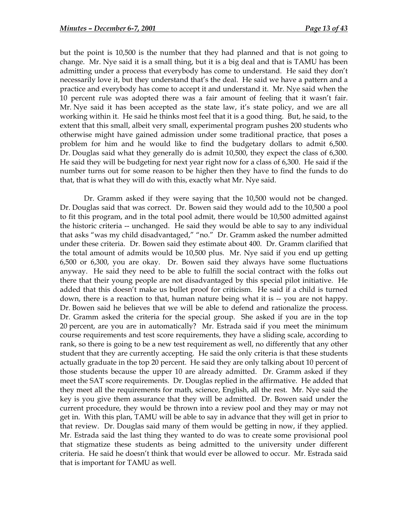but the point is 10,500 is the number that they had planned and that is not going to change. Mr. Nye said it is a small thing, but it is a big deal and that is TAMU has been admitting under a process that everybody has come to understand. He said they don't necessarily love it, but they understand that's the deal. He said we have a pattern and a practice and everybody has come to accept it and understand it. Mr. Nye said when the 10 percent rule was adopted there was a fair amount of feeling that it wasn't fair. Mr. Nye said it has been accepted as the state law, it's state policy, and we are all working within it. He said he thinks most feel that it is a good thing. But, he said, to the extent that this small, albeit very small, experimental program pushes 200 students who otherwise might have gained admission under some traditional practice, that poses a problem for him and he would like to find the budgetary dollars to admit 6,500. Dr. Douglas said what they generally do is admit 10,500, they expect the class of 6,300. He said they will be budgeting for next year right now for a class of 6,300. He said if the number turns out for some reason to be higher then they have to find the funds to do that, that is what they will do with this, exactly what Mr. Nye said.

Dr. Gramm asked if they were saying that the 10,500 would not be changed. Dr. Douglas said that was correct. Dr. Bowen said they would add to the 10,500 a pool to fit this program, and in the total pool admit, there would be 10,500 admitted against the historic criteria -- unchanged. He said they would be able to say to any individual that asks "was my child disadvantaged," "no." Dr. Gramm asked the number admitted under these criteria. Dr. Bowen said they estimate about 400. Dr. Gramm clarified that the total amount of admits would be 10,500 plus. Mr. Nye said if you end up getting 6,500 or 6,300, you are okay. Dr. Bowen said they always have some fluctuations anyway. He said they need to be able to fulfill the social contract with the folks out there that their young people are not disadvantaged by this special pilot initiative. He added that this doesn't make us bullet proof for criticism. He said if a child is turned down, there is a reaction to that, human nature being what it is -- you are not happy. Dr. Bowen said he believes that we will be able to defend and rationalize the process. Dr. Gramm asked the criteria for the special group. She asked if you are in the top 20 percent, are you are in automatically? Mr. Estrada said if you meet the minimum course requirements and test score requirements, they have a sliding scale, according to rank, so there is going to be a new test requirement as well, no differently that any other student that they are currently accepting. He said the only criteria is that these students actually graduate in the top 20 percent. He said they are only talking about 10 percent of those students because the upper 10 are already admitted. Dr. Gramm asked if they meet the SAT score requirements. Dr. Douglas replied in the affirmative. He added that they meet all the requirements for math, science, English, all the rest. Mr. Nye said the key is you give them assurance that they will be admitted. Dr. Bowen said under the current procedure, they would be thrown into a review pool and they may or may not get in. With this plan, TAMU will be able to say in advance that they will get in prior to that review. Dr. Douglas said many of them would be getting in now, if they applied. Mr. Estrada said the last thing they wanted to do was to create some provisional pool that stigmatize these students as being admitted to the university under different criteria. He said he doesn't think that would ever be allowed to occur. Mr. Estrada said that is important for TAMU as well.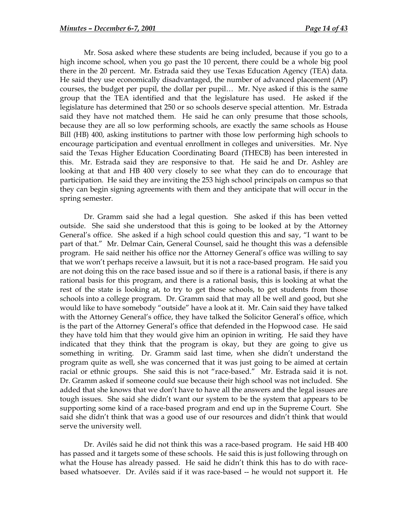Mr. Sosa asked where these students are being included, because if you go to a high income school, when you go past the 10 percent, there could be a whole big pool there in the 20 percent. Mr. Estrada said they use Texas Education Agency (TEA) data. He said they use economically disadvantaged, the number of advanced placement (AP) courses, the budget per pupil, the dollar per pupil… Mr. Nye asked if this is the same group that the TEA identified and that the legislature has used. He asked if the legislature has determined that 250 or so schools deserve special attention. Mr. Estrada said they have not matched them. He said he can only presume that those schools, because they are all so low performing schools, are exactly the same schools as House Bill (HB) 400, asking institutions to partner with those low performing high schools to encourage participation and eventual enrollment in colleges and universities. Mr. Nye said the Texas Higher Education Coordinating Board (THECB) has been interested in this. Mr. Estrada said they are responsive to that. He said he and Dr. Ashley are looking at that and HB 400 very closely to see what they can do to encourage that participation. He said they are inviting the 253 high school principals on campus so that they can begin signing agreements with them and they anticipate that will occur in the spring semester.

Dr. Gramm said she had a legal question. She asked if this has been vetted outside. She said she understood that this is going to be looked at by the Attorney General's office. She asked if a high school could question this and say, "I want to be part of that." Mr. Delmar Cain, General Counsel, said he thought this was a defensible program. He said neither his office nor the Attorney General's office was willing to say that we won't perhaps receive a lawsuit, but it is not a race-based program. He said you are not doing this on the race based issue and so if there is a rational basis, if there is any rational basis for this program, and there is a rational basis, this is looking at what the rest of the state is looking at, to try to get those schools, to get students from those schools into a college program. Dr. Gramm said that may all be well and good, but she would like to have somebody "outside" have a look at it. Mr. Cain said they have talked with the Attorney General's office, they have talked the Solicitor General's office, which is the part of the Attorney General's office that defended in the Hopwood case. He said they have told him that they would give him an opinion in writing. He said they have indicated that they think that the program is okay, but they are going to give us something in writing. Dr. Gramm said last time, when she didn't understand the program quite as well, she was concerned that it was just going to be aimed at certain racial or ethnic groups. She said this is not "race-based." Mr. Estrada said it is not. Dr. Gramm asked if someone could sue because their high school was not included. She added that she knows that we don't have to have all the answers and the legal issues are tough issues. She said she didn't want our system to be the system that appears to be supporting some kind of a race-based program and end up in the Supreme Court. She said she didn't think that was a good use of our resources and didn't think that would serve the university well.

Dr. Avilés said he did not think this was a race-based program. He said HB 400 has passed and it targets some of these schools. He said this is just following through on what the House has already passed. He said he didn't think this has to do with racebased whatsoever. Dr. Avilés said if it was race-based -- he would not support it. He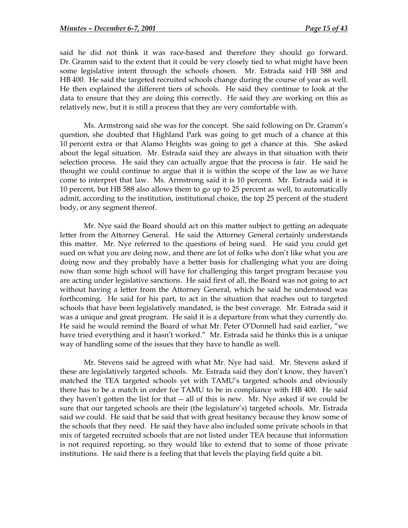said he did not think it was race-based and therefore they should go forward. Dr. Gramm said to the extent that it could be very closely tied to what might have been some legislative intent through the schools chosen. Mr. Estrada said HB 588 and HB 400. He said the targeted recruited schools change during the course of year as well. He then explained the different tiers of schools. He said they continue to look at the data to ensure that they are doing this correctly. He said they are working on this as relatively new, but it is still a process that they are very comfortable with.

Ms. Armstrong said she was for the concept. She said following on Dr. Gramm's question, she doubted that Highland Park was going to get much of a chance at this 10 percent extra or that Alamo Heights was going to get a chance at this. She asked about the legal situation. Mr. Estrada said they are always in that situation with their selection process. He said they can actually argue that the process is fair. He said he thought we could continue to argue that it is within the scope of the law as we have come to interpret that law. Ms. Armstrong said it is 10 percent. Mr. Estrada said it is 10 percent, but HB 588 also allows them to go up to 25 percent as well, to automatically admit, according to the institution, institutional choice, the top 25 percent of the student body, or any segment thereof.

Mr. Nye said the Board should act on this matter subject to getting an adequate letter from the Attorney General. He said the Attorney General certainly understands this matter. Mr. Nye referred to the questions of being sued. He said you could get sued on what you are doing now, and there are lot of folks who don't like what you are doing now and they probably have a better basis for challenging what you are doing now than some high school will have for challenging this target program because you are acting under legislative sanctions. He said first of all, the Board was not going to act without having a letter from the Attorney General, which he said he understood was forthcoming. He said for his part, to act in the situation that reaches out to targeted schools that have been legislatively mandated, is the best coverage. Mr. Estrada said it was a unique and great program. He said it is a departure from what they currently do. He said he would remind the Board of what Mr. Peter O'Donnell had said earlier, "we have tried everything and it hasn't worked." Mr. Estrada said he thinks this is a unique way of handling some of the issues that they have to handle as well.

Mr. Stevens said he agreed with what Mr. Nye had said. Mr. Stevens asked if these are legislatively targeted schools. Mr. Estrada said they don't know, they haven't matched the TEA targeted schools yet with TAMU's targeted schools and obviously there has to be a match in order for TAMU to be in compliance with HB 400. He said they haven't gotten the list for that -- all of this is new. Mr. Nye asked if we could be sure that our targeted schools are their (the legislature's) targeted schools. Mr. Estrada said we could. He said that he said that with great hesitancy because they know some of the schools that they need. He said they have also included some private schools in that mix of targeted recruited schools that are not listed under TEA because that information is not required reporting, so they would like to extend that to some of those private institutions. He said there is a feeling that that levels the playing field quite a bit.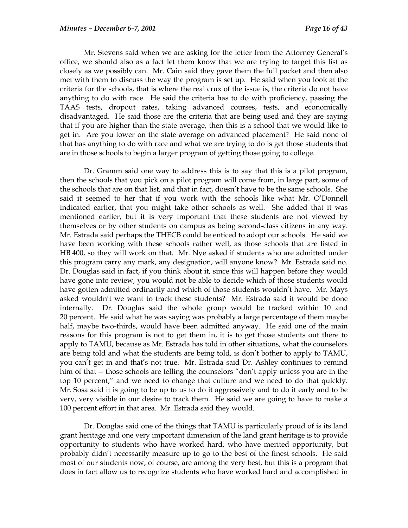Mr. Stevens said when we are asking for the letter from the Attorney General's office, we should also as a fact let them know that we are trying to target this list as closely as we possibly can. Mr. Cain said they gave them the full packet and then also met with them to discuss the way the program is set up. He said when you look at the criteria for the schools, that is where the real crux of the issue is, the criteria do not have anything to do with race. He said the criteria has to do with proficiency, passing the TAAS tests, dropout rates, taking advanced courses, tests, and economically disadvantaged. He said those are the criteria that are being used and they are saying that if you are higher than the state average, then this is a school that we would like to get in. Are you lower on the state average on advanced placement? He said none of that has anything to do with race and what we are trying to do is get those students that are in those schools to begin a larger program of getting those going to college.

Dr. Gramm said one way to address this is to say that this is a pilot program, then the schools that you pick on a pilot program will come from, in large part, some of the schools that are on that list, and that in fact, doesn't have to be the same schools. She said it seemed to her that if you work with the schools like what Mr. O'Donnell indicated earlier, that you might take other schools as well. She added that it was mentioned earlier, but it is very important that these students are not viewed by themselves or by other students on campus as being second-class citizens in any way. Mr. Estrada said perhaps the THECB could be enticed to adopt our schools. He said we have been working with these schools rather well, as those schools that are listed in HB 400, so they will work on that. Mr. Nye asked if students who are admitted under this program carry any mark, any designation, will anyone know? Mr. Estrada said no. Dr. Douglas said in fact, if you think about it, since this will happen before they would have gone into review, you would not be able to decide which of those students would have gotten admitted ordinarily and which of those students wouldn't have. Mr. Mays asked wouldn't we want to track these students? Mr. Estrada said it would be done internally. Dr. Douglas said the whole group would be tracked within 10 and 20 percent. He said what he was saying was probably a large percentage of them maybe half, maybe two-thirds, would have been admitted anyway. He said one of the main reasons for this program is not to get them in, it is to get those students out there to apply to TAMU, because as Mr. Estrada has told in other situations, what the counselors are being told and what the students are being told, is don't bother to apply to TAMU, you can't get in and that's not true. Mr. Estrada said Dr. Ashley continues to remind him of that -- those schools are telling the counselors "don't apply unless you are in the top 10 percent," and we need to change that culture and we need to do that quickly. Mr. Sosa said it is going to be up to us to do it aggressively and to do it early and to be very, very visible in our desire to track them. He said we are going to have to make a 100 percent effort in that area. Mr. Estrada said they would.

Dr. Douglas said one of the things that TAMU is particularly proud of is its land grant heritage and one very important dimension of the land grant heritage is to provide opportunity to students who have worked hard, who have merited opportunity, but probably didn't necessarily measure up to go to the best of the finest schools. He said most of our students now, of course, are among the very best, but this is a program that does in fact allow us to recognize students who have worked hard and accomplished in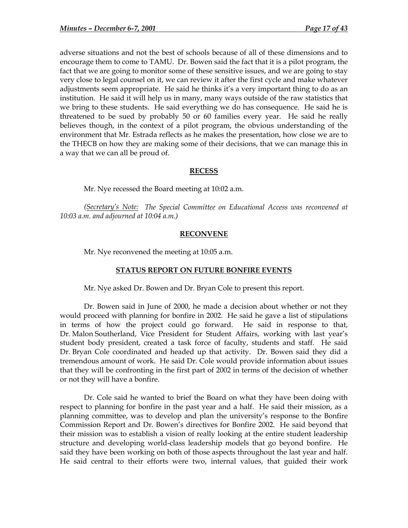<span id="page-22-0"></span>adverse situations and not the best of schools because of all of these dimensions and to encourage them to come to TAMU. Dr. Bowen said the fact that it is a pilot program, the fact that we are going to monitor some of these sensitive issues, and we are going to stay very close to legal counsel on it, we can review it after the first cycle and make whatever adjustments seem appropriate. He said he thinks it's a very important thing to do as an institution. He said it will help us in many, many ways outside of the raw statistics that we bring to these students. He said everything we do has consequence. He said he is threatened to be sued by probably 50 or 60 families every year. He said he really believes though, in the context of a pilot program, the obvious understanding of the environment that Mr. Estrada reflects as he makes the presentation, how close we are to the THECB on how they are making some of their decisions, that we can manage this in a way that we can all be proud of.

## **RECESS**

Mr. Nye recessed the Board meeting at 10:02 a.m.

 *(Secretary's Note: The Special Committee on Educational Access was reconvened at 10:03 a.m. and adjourned at 10:04 a.m.)* 

### **RECONVENE**

Mr. Nye reconvened the meeting at 10:05 a.m.

# **STATUS REPORT ON FUTURE BONFIRE EVENTS**

Mr. Nye asked Dr. Bowen and Dr. Bryan Cole to present this report.

Dr. Bowen said in June of 2000, he made a decision about whether or not they would proceed with planning for bonfire in 2002. He said he gave a list of stipulations in terms of how the project could go forward. He said in response to that, Dr. Malon Southerland, Vice President for Student Affairs, working with last year's student body president, created a task force of faculty, students and staff. He said Dr. Bryan Cole coordinated and headed up that activity. Dr. Bowen said they did a tremendous amount of work. He said Dr. Cole would provide information about issues that they will be confronting in the first part of 2002 in terms of the decision of whether or not they will have a bonfire.

Dr. Cole said he wanted to brief the Board on what they have been doing with respect to planning for bonfire in the past year and a half. He said their mission, as a planning committee, was to develop and plan the university's response to the Bonfire Commission Report and Dr. Bowen's directives for Bonfire 2002. He said beyond that their mission was to establish a vision of really looking at the entire student leadership structure and developing world-class leadership models that go beyond bonfire. He said they have been working on both of those aspects throughout the last year and half. He said central to their efforts were two, internal values, that guided their work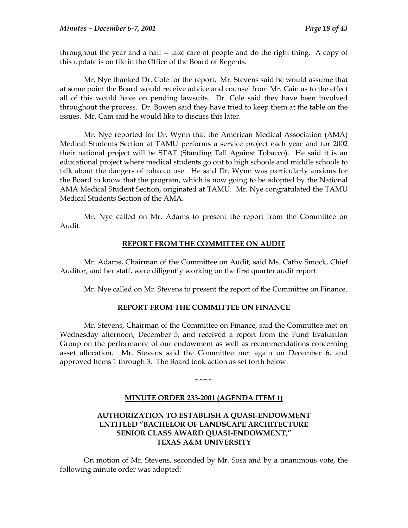<span id="page-23-0"></span>throughout the year and a half -- take care of people and do the right thing. A copy of this update is on file in the Office of the Board of Regents.

 Mr. Nye thanked Dr. Cole for the report. Mr. Stevens said he would assume that at some point the Board would receive advice and counsel from Mr. Cain as to the effect all of this would have on pending lawsuits. Dr. Cole said they have been involved throughout the process. Dr. Bowen said they have tried to keep them at the table on the issues. Mr. Cain said he would like to discuss this later.

 Mr. Nye reported for Dr. Wynn that the American Medical Association (AMA) Medical Students Section at TAMU performs a service project each year and for 2002 their national project will be STAT (Standing Tall Against Tobacco). He said it is an educational project where medical students go out to high schools and middle schools to talk about the dangers of tobacco use. He said Dr. Wynn was particularly anxious for the Board to know that the program, which is now going to be adopted by the National AMA Medical Student Section, originated at TAMU. Mr. Nye congratulated the TAMU Medical Students Section of the AMA.

Mr. Nye called on Mr. Adams to present the report from the Committee on Audit.

### **REPORT FROM THE COMMITTEE ON AUDIT**

Mr. Adams, Chairman of the Committee on Audit, said Ms. Cathy Smock, Chief Auditor, and her staff, were diligently working on the first quarter audit report.

Mr. Nye called on Mr. Stevens to present the report of the Committee on Finance.

### **REPORT FROM THE COMMITTEE ON FINANCE**

Mr. Stevens, Chairman of the Committee on Finance, said the Committee met on Wednesday afternoon, December 5, and received a report from the Fund Evaluation Group on the performance of our endowment as well as recommendations concerning asset allocation. Mr. Stevens said the Committee met again on December 6, and approved Items 1 through 3. The Board took action as set forth below:

## **MINUTE ORDER 233-2001 (AGENDA ITEM 1)**

**~~~~** 

# **AUTHORIZATION TO ESTABLISH A QUASI-ENDOWMENT ENTITLED "BACHELOR OF LANDSCAPE ARCHITECTURE SENIOR CLASS AWARD QUASI-ENDOWMENT," TEXAS A&M UNIVERSITY**

On motion of Mr. Stevens, seconded by Mr. Sosa and by a unanimous vote, the following minute order was adopted: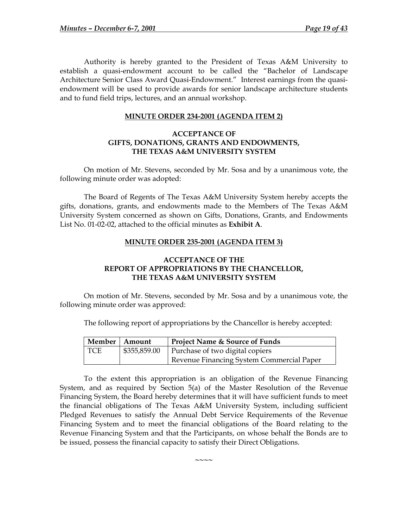<span id="page-24-0"></span>Authority is hereby granted to the President of Texas A&M University to establish a quasi-endowment account to be called the "Bachelor of Landscape Architecture Senior Class Award Quasi-Endowment." Interest earnings from the quasiendowment will be used to provide awards for senior landscape architecture students and to fund field trips, lectures, and an annual workshop.

## **MINUTE ORDER 234-2001 (AGENDA ITEM 2)**

### **ACCEPTANCE OF GIFTS, DONATIONS, GRANTS AND ENDOWMENTS, THE TEXAS A&M UNIVERSITY SYSTEM**

On motion of Mr. Stevens, seconded by Mr. Sosa and by a unanimous vote, the following minute order was adopted:

 The Board of Regents of The Texas A&M University System hereby accepts the gifts, donations, grants, and endowments made to the Members of The Texas A&M University System concerned as shown on Gifts, Donations, Grants, and Endowments List No. 01-02-02, attached to the official minutes as **Exhibit A**.

### **MINUTE ORDER 235-2001 (AGENDA ITEM 3)**

# **ACCEPTANCE OF THE REPORT OF APPROPRIATIONS BY THE CHANCELLOR, THE TEXAS A&M UNIVERSITY SYSTEM**

On motion of Mr. Stevens, seconded by Mr. Sosa and by a unanimous vote, the following minute order was approved:

The following report of appropriations by the Chancellor is hereby accepted:

| Member   Amount |              | Project Name & Source of Funds            |
|-----------------|--------------|-------------------------------------------|
| l TCE           | \$355,859.00 | Purchase of two digital copiers           |
|                 |              | Revenue Financing System Commercial Paper |

To the extent this appropriation is an obligation of the Revenue Financing System, and as required by Section 5(a) of the Master Resolution of the Revenue Financing System, the Board hereby determines that it will have sufficient funds to meet the financial obligations of The Texas A&M University System, including sufficient Pledged Revenues to satisfy the Annual Debt Service Requirements of the Revenue Financing System and to meet the financial obligations of the Board relating to the Revenue Financing System and that the Participants, on whose behalf the Bonds are to be issued, possess the financial capacity to satisfy their Direct Obligations.

**~~~~**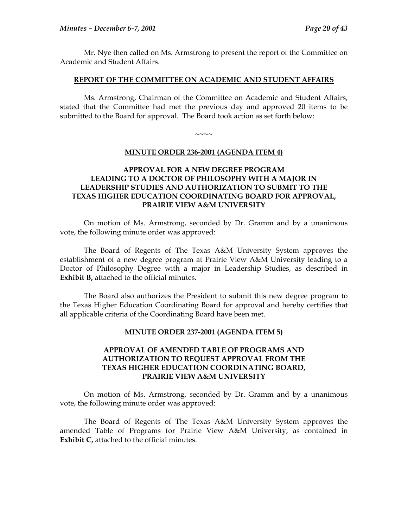<span id="page-25-0"></span>Mr. Nye then called on Ms. Armstrong to present the report of the Committee on Academic and Student Affairs.

### **REPORT OF THE COMMITTEE ON ACADEMIC AND STUDENT AFFAIRS**

Ms. Armstrong, Chairman of the Committee on Academic and Student Affairs, stated that the Committee had met the previous day and approved 20 items to be submitted to the Board for approval. The Board took action as set forth below:

**~~~~** 

### **MINUTE ORDER 236-2001 (AGENDA ITEM 4)**

## **APPROVAL FOR A NEW DEGREE PROGRAM LEADING TO A DOCTOR OF PHILOSOPHY WITH A MAJOR IN LEADERSHIP STUDIES AND AUTHORIZATION TO SUBMIT TO THE TEXAS HIGHER EDUCATION COORDINATING BOARD FOR APPROVAL, PRAIRIE VIEW A&M UNIVERSITY**

On motion of Ms. Armstrong, seconded by Dr. Gramm and by a unanimous vote, the following minute order was approved:

 The Board of Regents of The Texas A&M University System approves the establishment of a new degree program at Prairie View A&M University leading to a Doctor of Philosophy Degree with a major in Leadership Studies, as described in **Exhibit B,** attached to the official minutes.

 The Board also authorizes the President to submit this new degree program to the Texas Higher Education Coordinating Board for approval and hereby certifies that all applicable criteria of the Coordinating Board have been met.

### **MINUTE ORDER 237-2001 (AGENDA ITEM 5)**

## **APPROVAL OF AMENDED TABLE OF PROGRAMS AND AUTHORIZATION TO REQUEST APPROVAL FROM THE TEXAS HIGHER EDUCATION COORDINATING BOARD, PRAIRIE VIEW A&M UNIVERSITY**

On motion of Ms. Armstrong, seconded by Dr. Gramm and by a unanimous vote, the following minute order was approved:

 The Board of Regents of The Texas A&M University System approves the amended Table of Programs for Prairie View A&M University, as contained in **Exhibit C,** attached to the official minutes.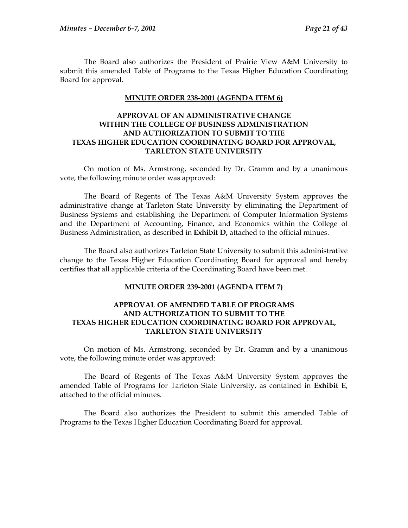<span id="page-26-0"></span>The Board also authorizes the President of Prairie View A&M University to submit this amended Table of Programs to the Texas Higher Education Coordinating Board for approval.

#### **MINUTE ORDER 238-2001 (AGENDA ITEM 6)**

## **APPROVAL OF AN ADMINISTRATIVE CHANGE WITHIN THE COLLEGE OF BUSINESS ADMINISTRATION AND AUTHORIZATION TO SUBMIT TO THE TEXAS HIGHER EDUCATION COORDINATING BOARD FOR APPROVAL, TARLETON STATE UNIVERSITY**

On motion of Ms. Armstrong, seconded by Dr. Gramm and by a unanimous vote, the following minute order was approved:

The Board of Regents of The Texas A&M University System approves the administrative change at Tarleton State University by eliminating the Department of Business Systems and establishing the Department of Computer Information Systems and the Department of Accounting, Finance, and Economics within the College of Business Administration, as described in **Exhibit D,** attached to the official minues.

The Board also authorizes Tarleton State University to submit this administrative change to the Texas Higher Education Coordinating Board for approval and hereby certifies that all applicable criteria of the Coordinating Board have been met.

#### **MINUTE ORDER 239-2001 (AGENDA ITEM 7)**

## **APPROVAL OF AMENDED TABLE OF PROGRAMS AND AUTHORIZATION TO SUBMIT TO THE TEXAS HIGHER EDUCATION COORDINATING BOARD FOR APPROVAL, TARLETON STATE UNIVERSITY**

On motion of Ms. Armstrong, seconded by Dr. Gramm and by a unanimous vote, the following minute order was approved:

The Board of Regents of The Texas A&M University System approves the amended Table of Programs for Tarleton State University, as contained in **Exhibit E**, attached to the official minutes.

The Board also authorizes the President to submit this amended Table of Programs to the Texas Higher Education Coordinating Board for approval.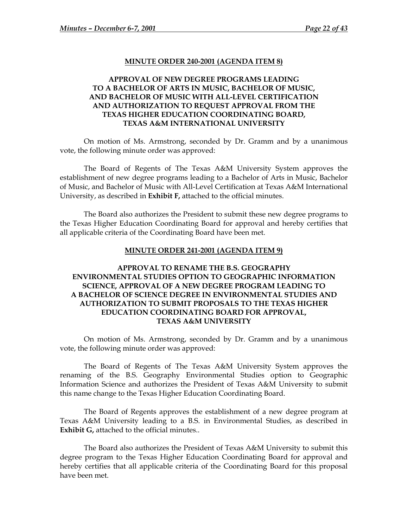#### **MINUTE ORDER 240-2001 (AGENDA ITEM 8)**

# <span id="page-27-0"></span>**APPROVAL OF NEW DEGREE PROGRAMS LEADING TO A BACHELOR OF ARTS IN MUSIC, BACHELOR OF MUSIC, AND BACHELOR OF MUSIC WITH ALL-LEVEL CERTIFICATION AND AUTHORIZATION TO REQUEST APPROVAL FROM THE TEXAS HIGHER EDUCATION COORDINATING BOARD, TEXAS A&M INTERNATIONAL UNIVERSITY**

On motion of Ms. Armstrong, seconded by Dr. Gramm and by a unanimous vote, the following minute order was approved:

The Board of Regents of The Texas A&M University System approves the establishment of new degree programs leading to a Bachelor of Arts in Music, Bachelor of Music, and Bachelor of Music with All-Level Certification at Texas A&M International University, as described in **Exhibit F,** attached to the official minutes.

The Board also authorizes the President to submit these new degree programs to the Texas Higher Education Coordinating Board for approval and hereby certifies that all applicable criteria of the Coordinating Board have been met.

#### **MINUTE ORDER 241-2001 (AGENDA ITEM 9)**

# **APPROVAL TO RENAME THE B.S. GEOGRAPHY ENVIRONMENTAL STUDIES OPTION TO GEOGRAPHIC INFORMATION SCIENCE, APPROVAL OF A NEW DEGREE PROGRAM LEADING TO A BACHELOR OF SCIENCE DEGREE IN ENVIRONMENTAL STUDIES AND AUTHORIZATION TO SUBMIT PROPOSALS TO THE TEXAS HIGHER EDUCATION COORDINATING BOARD FOR APPROVAL, TEXAS A&M UNIVERSITY**

On motion of Ms. Armstrong, seconded by Dr. Gramm and by a unanimous vote, the following minute order was approved:

The Board of Regents of The Texas A&M University System approves the renaming of the B.S. Geography Environmental Studies option to Geographic Information Science and authorizes the President of Texas A&M University to submit this name change to the Texas Higher Education Coordinating Board.

The Board of Regents approves the establishment of a new degree program at Texas A&M University leading to a B.S. in Environmental Studies, as described in **Exhibit G,** attached to the official minutes..

The Board also authorizes the President of Texas A&M University to submit this degree program to the Texas Higher Education Coordinating Board for approval and hereby certifies that all applicable criteria of the Coordinating Board for this proposal have been met.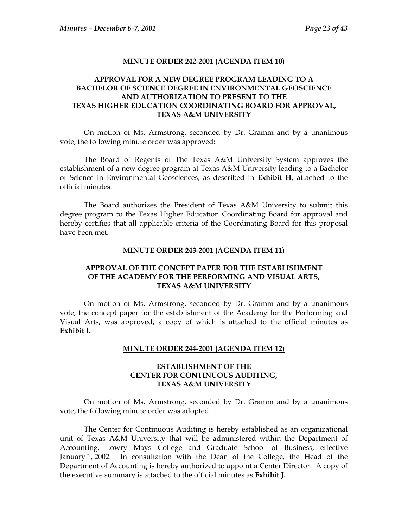#### **MINUTE ORDER 242-2001 (AGENDA ITEM 10)**

# <span id="page-28-0"></span>**APPROVAL FOR A NEW DEGREE PROGRAM LEADING TO A BACHELOR OF SCIENCE DEGREE IN ENVIRONMENTAL GEOSCIENCE AND AUTHORIZATION TO PRESENT TO THE TEXAS HIGHER EDUCATION COORDINATING BOARD FOR APPROVAL, TEXAS A&M UNIVERSITY**

On motion of Ms. Armstrong, seconded by Dr. Gramm and by a unanimous vote, the following minute order was approved:

 The Board of Regents of The Texas A&M University System approves the establishment of a new degree program at Texas A&M University leading to a Bachelor of Science in Environmental Geosciences, as described in **Exhibit H,** attached to the official minutes.

The Board authorizes the President of Texas A&M University to submit this degree program to the Texas Higher Education Coordinating Board for approval and hereby certifies that all applicable criteria of the Coordinating Board for this proposal have been met.

#### **MINUTE ORDER 243-2001 (AGENDA ITEM 11)**

# **APPROVAL OF THE CONCEPT PAPER FOR THE ESTABLISHMENT OF THE ACADEMY FOR THE PERFORMING AND VISUAL ARTS, TEXAS A&M UNIVERSITY**

On motion of Ms. Armstrong, seconded by Dr. Gramm and by a unanimous vote, the concept paper for the establishment of the Academy for the Performing and Visual Arts, was approved, a copy of which is attached to the official minutes as **Exhibit I.**

#### **MINUTE ORDER 244-2001 (AGENDA ITEM 12)**

### **ESTABLISHMENT OF THE CENTER FOR CONTINUOUS AUDITING, TEXAS A&M UNIVERSITY**

On motion of Ms. Armstrong, seconded by Dr. Gramm and by a unanimous vote, the following minute order was adopted:

The Center for Continuous Auditing is hereby established as an organizational unit of Texas A&M University that will be administered within the Department of Accounting, Lowry Mays College and Graduate School of Business, effective January 1, 2002. In consultation with the Dean of the College, the Head of the Department of Accounting is hereby authorized to appoint a Center Director. A copy of the executive summary is attached to the official minutes as **Exhibit J.**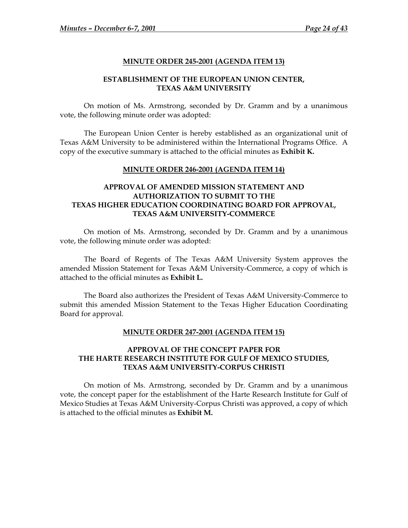### **MINUTE ORDER 245-2001 (AGENDA ITEM 13)**

## **ESTABLISHMENT OF THE EUROPEAN UNION CENTER, TEXAS A&M UNIVERSITY**

<span id="page-29-0"></span>On motion of Ms. Armstrong, seconded by Dr. Gramm and by a unanimous vote, the following minute order was adopted:

The European Union Center is hereby established as an organizational unit of Texas A&M University to be administered within the International Programs Office. A copy of the executive summary is attached to the official minutes as **Exhibit K.**

# **MINUTE ORDER 246-2001 (AGENDA ITEM 14)**

# **APPROVAL OF AMENDED MISSION STATEMENT AND AUTHORIZATION TO SUBMIT TO THE TEXAS HIGHER EDUCATION COORDINATING BOARD FOR APPROVAL, TEXAS A&M UNIVERSITY-COMMERCE**

On motion of Ms. Armstrong, seconded by Dr. Gramm and by a unanimous vote, the following minute order was adopted:

The Board of Regents of The Texas A&M University System approves the amended Mission Statement for Texas A&M University-Commerce, a copy of which is attached to the official minutes as **Exhibit L.**

The Board also authorizes the President of Texas A&M University-Commerce to submit this amended Mission Statement to the Texas Higher Education Coordinating Board for approval.

### **MINUTE ORDER 247-2001 (AGENDA ITEM 15)**

# **APPROVAL OF THE CONCEPT PAPER FOR THE HARTE RESEARCH INSTITUTE FOR GULF OF MEXICO STUDIES, TEXAS A&M UNIVERSITY-CORPUS CHRISTI**

On motion of Ms. Armstrong, seconded by Dr. Gramm and by a unanimous vote, the concept paper for the establishment of the Harte Research Institute for Gulf of Mexico Studies at Texas A&M University-Corpus Christi was approved, a copy of which is attached to the official minutes as **Exhibit M.**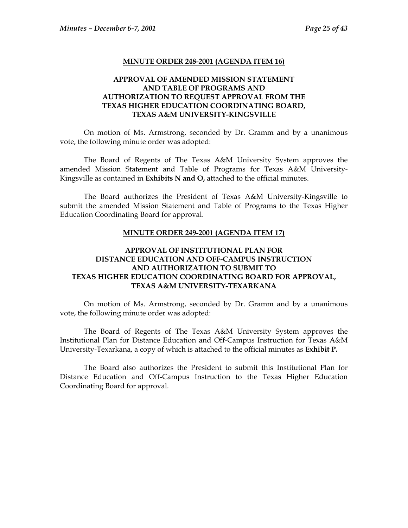#### **MINUTE ORDER 248-2001 (AGENDA ITEM 16)**

## <span id="page-30-0"></span>**APPROVAL OF AMENDED MISSION STATEMENT AND TABLE OF PROGRAMS AND AUTHORIZATION TO REQUEST APPROVAL FROM THE TEXAS HIGHER EDUCATION COORDINATING BOARD, TEXAS A&M UNIVERSITY-KINGSVILLE**

On motion of Ms. Armstrong, seconded by Dr. Gramm and by a unanimous vote, the following minute order was adopted:

The Board of Regents of The Texas A&M University System approves the amended Mission Statement and Table of Programs for Texas A&M University-Kingsville as contained in **Exhibits N and O,** attached to the official minutes.

The Board authorizes the President of Texas A&M University-Kingsville to submit the amended Mission Statement and Table of Programs to the Texas Higher Education Coordinating Board for approval.

#### **MINUTE ORDER 249-2001 (AGENDA ITEM 17)**

# **APPROVAL OF INSTITUTIONAL PLAN FOR DISTANCE EDUCATION AND OFF-CAMPUS INSTRUCTION AND AUTHORIZATION TO SUBMIT TO TEXAS HIGHER EDUCATION COORDINATING BOARD FOR APPROVAL, TEXAS A&M UNIVERSITY-TEXARKANA**

On motion of Ms. Armstrong, seconded by Dr. Gramm and by a unanimous vote, the following minute order was adopted:

The Board of Regents of The Texas A&M University System approves the Institutional Plan for Distance Education and Off-Campus Instruction for Texas A&M University-Texarkana, a copy of which is attached to the official minutes as **Exhibit P.**

The Board also authorizes the President to submit this Institutional Plan for Distance Education and Off-Campus Instruction to the Texas Higher Education Coordinating Board for approval.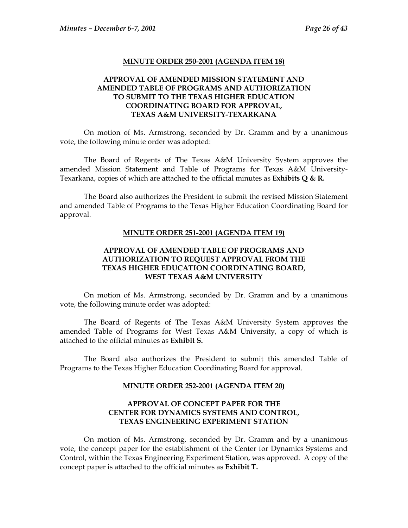#### **MINUTE ORDER 250-2001 (AGENDA ITEM 18)**

# <span id="page-31-0"></span>**APPROVAL OF AMENDED MISSION STATEMENT AND AMENDED TABLE OF PROGRAMS AND AUTHORIZATION TO SUBMIT TO THE TEXAS HIGHER EDUCATION COORDINATING BOARD FOR APPROVAL, TEXAS A&M UNIVERSITY-TEXARKANA**

On motion of Ms. Armstrong, seconded by Dr. Gramm and by a unanimous vote, the following minute order was adopted:

The Board of Regents of The Texas A&M University System approves the amended Mission Statement and Table of Programs for Texas A&M University-Texarkana, copies of which are attached to the official minutes as **Exhibits Q & R.**

The Board also authorizes the President to submit the revised Mission Statement and amended Table of Programs to the Texas Higher Education Coordinating Board for approval.

#### **MINUTE ORDER 251-2001 (AGENDA ITEM 19)**

## **APPROVAL OF AMENDED TABLE OF PROGRAMS AND AUTHORIZATION TO REQUEST APPROVAL FROM THE TEXAS HIGHER EDUCATION COORDINATING BOARD, WEST TEXAS A&M UNIVERSITY**

On motion of Ms. Armstrong, seconded by Dr. Gramm and by a unanimous vote, the following minute order was adopted:

The Board of Regents of The Texas A&M University System approves the amended Table of Programs for West Texas A&M University, a copy of which is attached to the official minutes as **Exhibit S.** 

 The Board also authorizes the President to submit this amended Table of Programs to the Texas Higher Education Coordinating Board for approval.

#### **MINUTE ORDER 252-2001 (AGENDA ITEM 20)**

# **APPROVAL OF CONCEPT PAPER FOR THE CENTER FOR DYNAMICS SYSTEMS AND CONTROL, TEXAS ENGINEERING EXPERIMENT STATION**

On motion of Ms. Armstrong, seconded by Dr. Gramm and by a unanimous vote, the concept paper for the establishment of the Center for Dynamics Systems and Control, within the Texas Engineering Experiment Station, was approved. A copy of the concept paper is attached to the official minutes as **Exhibit T.**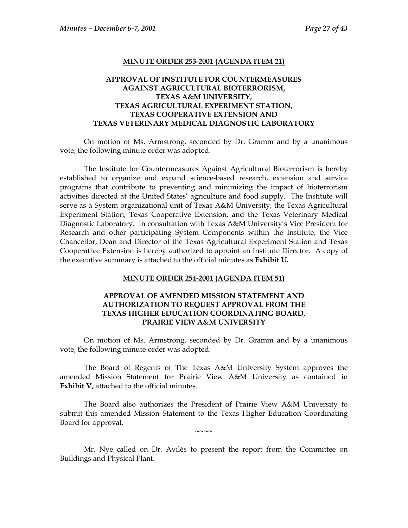#### **MINUTE ORDER 253-2001 (AGENDA ITEM 21)**

# <span id="page-32-0"></span>**APPROVAL OF INSTITUTE FOR COUNTERMEASURES AGAINST AGRICULTURAL BIOTERRORISM, TEXAS A&M UNIVERSITY, TEXAS AGRICULTURAL EXPERIMENT STATION, TEXAS COOPERATIVE EXTENSION AND TEXAS VETERINARY MEDICAL DIAGNOSTIC LABORATORY**

On motion of Ms. Armstrong, seconded by Dr. Gramm and by a unanimous vote, the following minute order was adopted:

 The Institute for Countermeasures Against Agricultural Bioterrorism is hereby established to organize and expand science-based research, extension and service programs that contribute to preventing and minimizing the impact of bioterrorism activities directed at the United States' agriculture and food supply. The Institute will serve as a System organizational unit of Texas A&M University, the Texas Agricultural Experiment Station, Texas Cooperative Extension, and the Texas Veterinary Medical Diagnostic Laboratory. In consultation with Texas A&M University's Vice President for Research and other participating System Components within the Institute, the Vice Chancellor, Dean and Director of the Texas Agricultural Experiment Station and Texas Cooperative Extension is hereby authorized to appoint an Institute Director. A copy of the executive summary is attached to the official minutes as **Exhibit U.**

#### **MINUTE ORDER 254-2001 (AGENDA ITEM 51)**

## **APPROVAL OF AMENDED MISSION STATEMENT AND AUTHORIZATION TO REQUEST APPROVAL FROM THE TEXAS HIGHER EDUCATION COORDINATING BOARD, PRAIRIE VIEW A&M UNIVERSITY**

On motion of Ms. Armstrong, seconded by Dr. Gramm and by a unanimous vote, the following minute order was adopted:

 The Board of Regents of The Texas A&M University System approves the amended Mission Statement for Prairie View A&M University as contained in **Exhibit V,** attached to the official minutes.

 The Board also authorizes the President of Prairie View A&M University to submit this amended Mission Statement to the Texas Higher Education Coordinating Board for approval.

**~~~~** 

Mr. Nye called on Dr. Avilés to present the report from the Committee on Buildings and Physical Plant.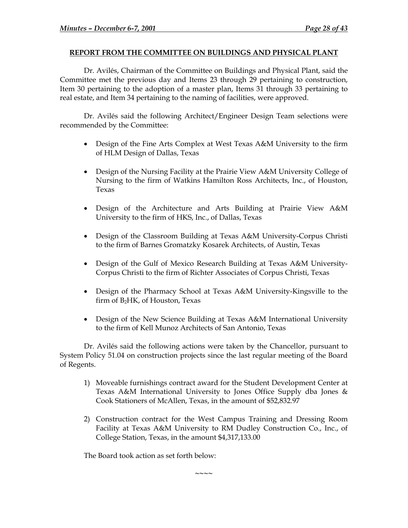## <span id="page-33-0"></span>**REPORT FROM THE COMMITTEE ON BUILDINGS AND PHYSICAL PLANT**

Dr. Avilés, Chairman of the Committee on Buildings and Physical Plant, said the Committee met the previous day and Items 23 through 29 pertaining to construction, Item 30 pertaining to the adoption of a master plan, Items 31 through 33 pertaining to real estate, and Item 34 pertaining to the naming of facilities, were approved.

Dr. Avilés said the following Architect/Engineer Design Team selections were recommended by the Committee:

- Design of the Fine Arts Complex at West Texas A&M University to the firm of HLM Design of Dallas, Texas
- Design of the Nursing Facility at the Prairie View A&M University College of Nursing to the firm of Watkins Hamilton Ross Architects, Inc., of Houston, Texas
- Design of the Architecture and Arts Building at Prairie View A&M University to the firm of HKS, Inc., of Dallas, Texas
- Design of the Classroom Building at Texas A&M University-Corpus Christi to the firm of Barnes Gromatzky Kosarek Architects, of Austin, Texas
- Design of the Gulf of Mexico Research Building at Texas A&M University-Corpus Christi to the firm of Richter Associates of Corpus Christi, Texas
- Design of the Pharmacy School at Texas A&M University-Kingsville to the firm of B2HK, of Houston, Texas
- Design of the New Science Building at Texas A&M International University to the firm of Kell Munoz Architects of San Antonio, Texas

Dr. Avilés said the following actions were taken by the Chancellor, pursuant to System Policy 51.04 on construction projects since the last regular meeting of the Board of Regents.

- 1) Moveable furnishings contract award for the Student Development Center at Texas A&M International University to Jones Office Supply dba Jones & Cook Stationers of McAllen, Texas, in the amount of \$52,832.97
- 2) Construction contract for the West Campus Training and Dressing Room Facility at Texas A&M University to RM Dudley Construction Co., Inc., of College Station, Texas, in the amount \$4,317,133.00

**~~~~** 

The Board took action as set forth below: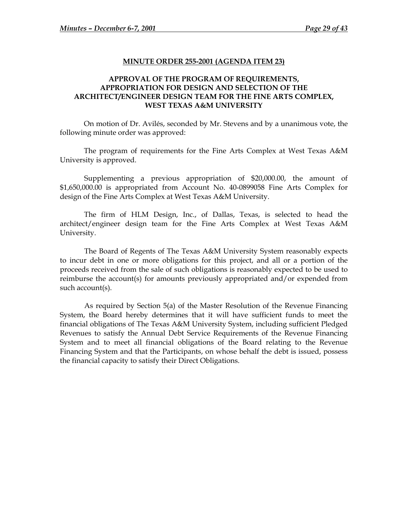#### **MINUTE ORDER 255-2001 (AGENDA ITEM 23)**

# <span id="page-34-0"></span>**APPROVAL OF THE PROGRAM OF REQUIREMENTS, APPROPRIATION FOR DESIGN AND SELECTION OF THE ARCHITECT/ENGINEER DESIGN TEAM FOR THE FINE ARTS COMPLEX, WEST TEXAS A&M UNIVERSITY**

On motion of Dr. Avilés, seconded by Mr. Stevens and by a unanimous vote, the following minute order was approved:

The program of requirements for the Fine Arts Complex at West Texas A&M University is approved.

Supplementing a previous appropriation of \$20,000.00, the amount of \$1,650,000.00 is appropriated from Account No. 40-0899058 Fine Arts Complex for design of the Fine Arts Complex at West Texas A&M University.

The firm of HLM Design, Inc., of Dallas, Texas, is selected to head the architect/engineer design team for the Fine Arts Complex at West Texas A&M University.

The Board of Regents of The Texas A&M University System reasonably expects to incur debt in one or more obligations for this project, and all or a portion of the proceeds received from the sale of such obligations is reasonably expected to be used to reimburse the account(s) for amounts previously appropriated and/or expended from such account(s).

As required by Section 5(a) of the Master Resolution of the Revenue Financing System, the Board hereby determines that it will have sufficient funds to meet the financial obligations of The Texas A&M University System, including sufficient Pledged Revenues to satisfy the Annual Debt Service Requirements of the Revenue Financing System and to meet all financial obligations of the Board relating to the Revenue Financing System and that the Participants, on whose behalf the debt is issued, possess the financial capacity to satisfy their Direct Obligations.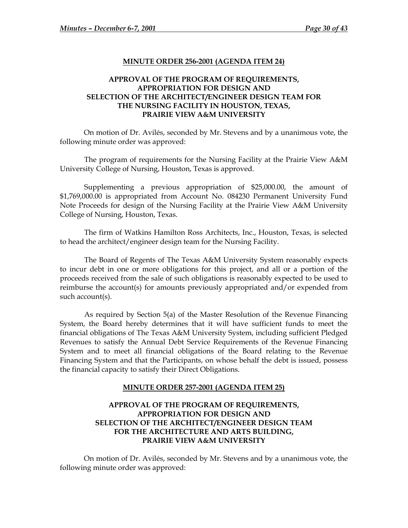## **MINUTE ORDER 256-2001 (AGENDA ITEM 24)**

# <span id="page-35-0"></span>**APPROVAL OF THE PROGRAM OF REQUIREMENTS, APPROPRIATION FOR DESIGN AND SELECTION OF THE ARCHITECT/ENGINEER DESIGN TEAM FOR THE NURSING FACILITY IN HOUSTON, TEXAS, PRAIRIE VIEW A&M UNIVERSITY**

On motion of Dr. Avilés, seconded by Mr. Stevens and by a unanimous vote, the following minute order was approved:

The program of requirements for the Nursing Facility at the Prairie View A&M University College of Nursing, Houston, Texas is approved.

Supplementing a previous appropriation of \$25,000.00, the amount of \$1,769,000.00 is appropriated from Account No. 084230 Permanent University Fund Note Proceeds for design of the Nursing Facility at the Prairie View A&M University College of Nursing, Houston, Texas.

The firm of Watkins Hamilton Ross Architects, Inc., Houston, Texas, is selected to head the architect/engineer design team for the Nursing Facility.

The Board of Regents of The Texas A&M University System reasonably expects to incur debt in one or more obligations for this project, and all or a portion of the proceeds received from the sale of such obligations is reasonably expected to be used to reimburse the account(s) for amounts previously appropriated and/or expended from such account(s).

As required by Section 5(a) of the Master Resolution of the Revenue Financing System, the Board hereby determines that it will have sufficient funds to meet the financial obligations of The Texas A&M University System, including sufficient Pledged Revenues to satisfy the Annual Debt Service Requirements of the Revenue Financing System and to meet all financial obligations of the Board relating to the Revenue Financing System and that the Participants, on whose behalf the debt is issued, possess the financial capacity to satisfy their Direct Obligations.

### **MINUTE ORDER 257-2001 (AGENDA ITEM 25)**

# **APPROVAL OF THE PROGRAM OF REQUIREMENTS, APPROPRIATION FOR DESIGN AND SELECTION OF THE ARCHITECT/ENGINEER DESIGN TEAM FOR THE ARCHITECTURE AND ARTS BUILDING, PRAIRIE VIEW A&M UNIVERSITY**

On motion of Dr. Avilés, seconded by Mr. Stevens and by a unanimous vote, the following minute order was approved: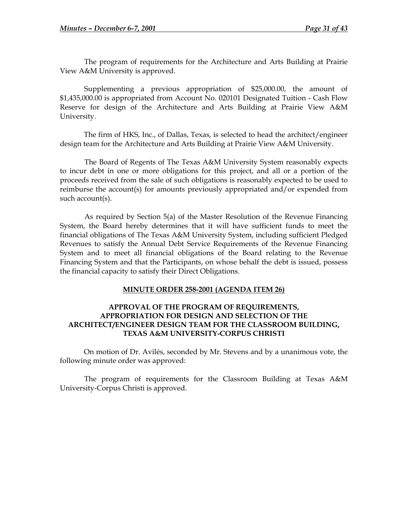<span id="page-36-0"></span>The program of requirements for the Architecture and Arts Building at Prairie View A&M University is approved.

Supplementing a previous appropriation of \$25,000.00, the amount of \$1,435,000.00 is appropriated from Account No. 020101 Designated Tuition - Cash Flow Reserve for design of the Architecture and Arts Building at Prairie View A&M University.

The firm of HKS, Inc., of Dallas, Texas, is selected to head the architect/engineer design team for the Architecture and Arts Building at Prairie View A&M University.

The Board of Regents of The Texas A&M University System reasonably expects to incur debt in one or more obligations for this project, and all or a portion of the proceeds received from the sale of such obligations is reasonably expected to be used to reimburse the account(s) for amounts previously appropriated and/or expended from such account(s).

As required by Section 5(a) of the Master Resolution of the Revenue Financing System, the Board hereby determines that it will have sufficient funds to meet the financial obligations of The Texas A&M University System, including sufficient Pledged Revenues to satisfy the Annual Debt Service Requirements of the Revenue Financing System and to meet all financial obligations of the Board relating to the Revenue Financing System and that the Participants, on whose behalf the debt is issued, possess the financial capacity to satisfy their Direct Obligations.

## **MINUTE ORDER 258-2001 (AGENDA ITEM 26)**

## **APPROVAL OF THE PROGRAM OF REQUIREMENTS, APPROPRIATION FOR DESIGN AND SELECTION OF THE ARCHITECT/ENGINEER DESIGN TEAM FOR THE CLASSROOM BUILDING, TEXAS A&M UNIVERSITY-CORPUS CHRISTI**

On motion of Dr. Avilés, seconded by Mr. Stevens and by a unanimous vote, the following minute order was approved:

The program of requirements for the Classroom Building at Texas A&M University-Corpus Christi is approved.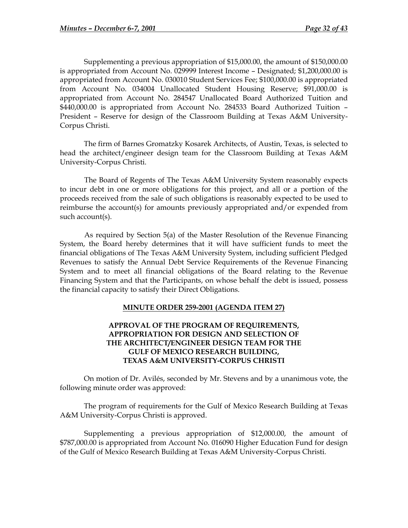<span id="page-37-0"></span> Supplementing a previous appropriation of \$15,000.00, the amount of \$150,000.00 is appropriated from Account No. 029999 Interest Income – Designated; \$1,200,000.00 is appropriated from Account No. 030010 Student Services Fee; \$100,000.00 is appropriated from Account No. 034004 Unallocated Student Housing Reserve; \$91,000.00 is appropriated from Account No. 284547 Unallocated Board Authorized Tuition and \$440,000.00 is appropriated from Account No. 284533 Board Authorized Tuition – President – Reserve for design of the Classroom Building at Texas A&M University-Corpus Christi.

The firm of Barnes Gromatzky Kosarek Architects, of Austin, Texas, is selected to head the architect/engineer design team for the Classroom Building at Texas A&M University-Corpus Christi.

The Board of Regents of The Texas A&M University System reasonably expects to incur debt in one or more obligations for this project, and all or a portion of the proceeds received from the sale of such obligations is reasonably expected to be used to reimburse the account(s) for amounts previously appropriated and/or expended from such account(s).

As required by Section 5(a) of the Master Resolution of the Revenue Financing System, the Board hereby determines that it will have sufficient funds to meet the financial obligations of The Texas A&M University System, including sufficient Pledged Revenues to satisfy the Annual Debt Service Requirements of the Revenue Financing System and to meet all financial obligations of the Board relating to the Revenue Financing System and that the Participants, on whose behalf the debt is issued, possess the financial capacity to satisfy their Direct Obligations.

### **MINUTE ORDER 259-2001 (AGENDA ITEM 27)**

# **APPROVAL OF THE PROGRAM OF REQUIREMENTS, APPROPRIATION FOR DESIGN AND SELECTION OF THE ARCHITECT/ENGINEER DESIGN TEAM FOR THE GULF OF MEXICO RESEARCH BUILDING, TEXAS A&M UNIVERSITY-CORPUS CHRISTI**

On motion of Dr. Avilés, seconded by Mr. Stevens and by a unanimous vote, the following minute order was approved:

The program of requirements for the Gulf of Mexico Research Building at Texas A&M University-Corpus Christi is approved.

Supplementing a previous appropriation of \$12,000.00, the amount of \$787,000.00 is appropriated from Account No. 016090 Higher Education Fund for design of the Gulf of Mexico Research Building at Texas A&M University-Corpus Christi.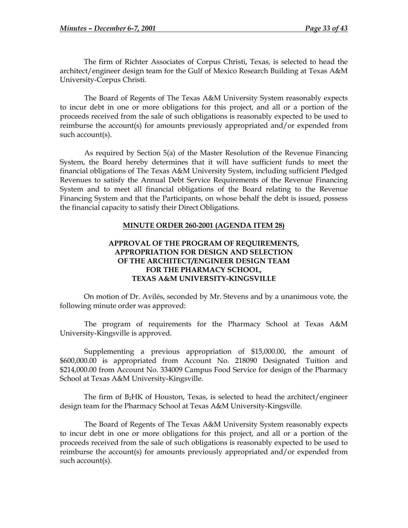<span id="page-38-0"></span>The firm of Richter Associates of Corpus Christi, Texas, is selected to head the architect/engineer design team for the Gulf of Mexico Research Building at Texas A&M University-Corpus Christi.

The Board of Regents of The Texas A&M University System reasonably expects to incur debt in one or more obligations for this project, and all or a portion of the proceeds received from the sale of such obligations is reasonably expected to be used to reimburse the account(s) for amounts previously appropriated and/or expended from such account(s).

As required by Section 5(a) of the Master Resolution of the Revenue Financing System, the Board hereby determines that it will have sufficient funds to meet the financial obligations of The Texas A&M University System, including sufficient Pledged Revenues to satisfy the Annual Debt Service Requirements of the Revenue Financing System and to meet all financial obligations of the Board relating to the Revenue Financing System and that the Participants, on whose behalf the debt is issued, possess the financial capacity to satisfy their Direct Obligations.

## **MINUTE ORDER 260-2001 (AGENDA ITEM 28)**

# **APPROVAL OF THE PROGRAM OF REQUIREMENTS, APPROPRIATION FOR DESIGN AND SELECTION OF THE ARCHITECT/ENGINEER DESIGN TEAM FOR THE PHARMACY SCHOOL, TEXAS A&M UNIVERSITY-KINGSVILLE**

On motion of Dr. Avilés, seconded by Mr. Stevens and by a unanimous vote, the following minute order was approved:

The program of requirements for the Pharmacy School at Texas A&M University-Kingsville is approved.

Supplementing a previous appropriation of \$15,000.00, the amount of \$600,000.00 is appropriated from Account No. 218090 Designated Tuition and \$214,000.00 from Account No. 334009 Campus Food Service for design of the Pharmacy School at Texas A&M University-Kingsville.

The firm of B2HK of Houston, Texas, is selected to head the architect/engineer design team for the Pharmacy School at Texas A&M University-Kingsville.

The Board of Regents of The Texas A&M University System reasonably expects to incur debt in one or more obligations for this project, and all or a portion of the proceeds received from the sale of such obligations is reasonably expected to be used to reimburse the account(s) for amounts previously appropriated and/or expended from such account(s).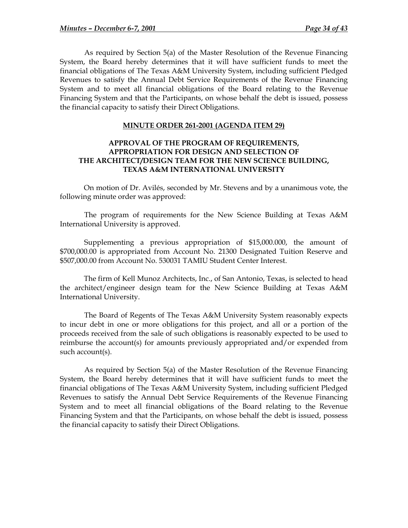<span id="page-39-0"></span>As required by Section 5(a) of the Master Resolution of the Revenue Financing System, the Board hereby determines that it will have sufficient funds to meet the financial obligations of The Texas A&M University System, including sufficient Pledged Revenues to satisfy the Annual Debt Service Requirements of the Revenue Financing System and to meet all financial obligations of the Board relating to the Revenue Financing System and that the Participants, on whose behalf the debt is issued, possess the financial capacity to satisfy their Direct Obligations.

### **MINUTE ORDER 261-2001 (AGENDA ITEM 29)**

# **APPROVAL OF THE PROGRAM OF REQUIREMENTS, APPROPRIATION FOR DESIGN AND SELECTION OF THE ARCHITECT/DESIGN TEAM FOR THE NEW SCIENCE BUILDING, TEXAS A&M INTERNATIONAL UNIVERSITY**

On motion of Dr. Avilés, seconded by Mr. Stevens and by a unanimous vote, the following minute order was approved:

The program of requirements for the New Science Building at Texas A&M International University is approved.

Supplementing a previous appropriation of \$15,000.000, the amount of \$700,000.00 is appropriated from Account No. 21300 Designated Tuition Reserve and \$507,000.00 from Account No. 530031 TAMIU Student Center Interest.

The firm of Kell Munoz Architects, Inc., of San Antonio, Texas, is selected to head the architect/engineer design team for the New Science Building at Texas A&M International University.

The Board of Regents of The Texas A&M University System reasonably expects to incur debt in one or more obligations for this project, and all or a portion of the proceeds received from the sale of such obligations is reasonably expected to be used to reimburse the account(s) for amounts previously appropriated and/or expended from such account(s).

As required by Section 5(a) of the Master Resolution of the Revenue Financing System, the Board hereby determines that it will have sufficient funds to meet the financial obligations of The Texas A&M University System, including sufficient Pledged Revenues to satisfy the Annual Debt Service Requirements of the Revenue Financing System and to meet all financial obligations of the Board relating to the Revenue Financing System and that the Participants, on whose behalf the debt is issued, possess the financial capacity to satisfy their Direct Obligations.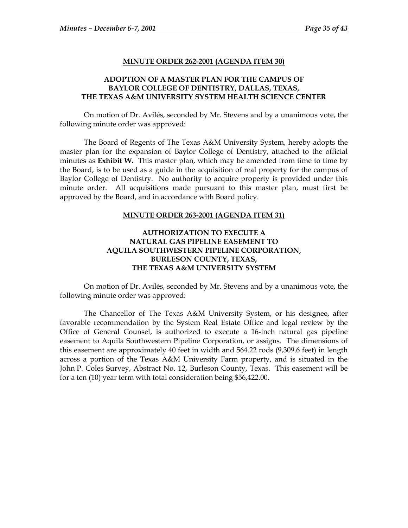#### **MINUTE ORDER 262-2001 (AGENDA ITEM 30)**

# <span id="page-40-0"></span>**ADOPTION OF A MASTER PLAN FOR THE CAMPUS OF BAYLOR COLLEGE OF DENTISTRY, DALLAS, TEXAS, THE TEXAS A&M UNIVERSITY SYSTEM HEALTH SCIENCE CENTER**

On motion of Dr. Avilés, seconded by Mr. Stevens and by a unanimous vote, the following minute order was approved:

The Board of Regents of The Texas A&M University System, hereby adopts the master plan for the expansion of Baylor College of Dentistry, attached to the official minutes as **Exhibit W.** This master plan, which may be amended from time to time by the Board, is to be used as a guide in the acquisition of real property for the campus of Baylor College of Dentistry. No authority to acquire property is provided under this minute order. All acquisitions made pursuant to this master plan, must first be approved by the Board, and in accordance with Board policy.

#### **MINUTE ORDER 263-2001 (AGENDA ITEM 31)**

## **AUTHORIZATION TO EXECUTE A NATURAL GAS PIPELINE EASEMENT TO AQUILA SOUTHWESTERN PIPELINE CORPORATION, BURLESON COUNTY, TEXAS, THE TEXAS A&M UNIVERSITY SYSTEM**

On motion of Dr. Avilés, seconded by Mr. Stevens and by a unanimous vote, the following minute order was approved:

The Chancellor of The Texas A&M University System, or his designee, after favorable recommendation by the System Real Estate Office and legal review by the Office of General Counsel, is authorized to execute a 16-inch natural gas pipeline easement to Aquila Southwestern Pipeline Corporation, or assigns. The dimensions of this easement are approximately 40 feet in width and 564.22 rods (9,309.6 feet) in length across a portion of the Texas A&M University Farm property, and is situated in the John P. Coles Survey, Abstract No. 12, Burleson County, Texas. This easement will be for a ten (10) year term with total consideration being \$56,422.00.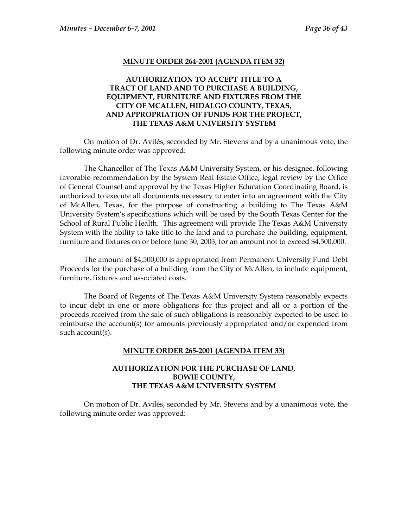#### **MINUTE ORDER 264-2001 (AGENDA ITEM 32)**

# <span id="page-41-0"></span>**AUTHORIZATION TO ACCEPT TITLE TO A TRACT OF LAND AND TO PURCHASE A BUILDING, EQUIPMENT, FURNITURE AND FIXTURES FROM THE CITY OF MCALLEN, HIDALGO COUNTY, TEXAS, AND APPROPRIATION OF FUNDS FOR THE PROJECT, THE TEXAS A&M UNIVERSITY SYSTEM**

On motion of Dr. Avilés, seconded by Mr. Stevens and by a unanimous vote, the following minute order was approved:

The Chancellor of The Texas A&M University System, or his designee, following favorable recommendation by the System Real Estate Office, legal review by the Office of General Counsel and approval by the Texas Higher Education Coordinating Board, is authorized to execute all documents necessary to enter into an agreement with the City of McAllen, Texas, for the purpose of constructing a building to The Texas A&M University System's specifications which will be used by the South Texas Center for the School of Rural Public Health. This agreement will provide The Texas A&M University System with the ability to take title to the land and to purchase the building, equipment, furniture and fixtures on or before June 30, 2003, for an amount not to exceed \$4,500,000.

The amount of \$4,500,000 is appropriated from Permanent University Fund Debt Proceeds for the purchase of a building from the City of McAllen, to include equipment, furniture, fixtures and associated costs.

The Board of Regents of The Texas A&M University System reasonably expects to incur debt in one or more obligations for this project and all or a portion of the proceeds received from the sale of such obligations is reasonably expected to be used to reimburse the account(s) for amounts previously appropriated and/or expended from such account(s).

#### **MINUTE ORDER 265-2001 (AGENDA ITEM 33)**

### **AUTHORIZATION FOR THE PURCHASE OF LAND, BOWIE COUNTY, THE TEXAS A&M UNIVERSITY SYSTEM**

On motion of Dr. Avilés, seconded by Mr. Stevens and by a unanimous vote, the following minute order was approved: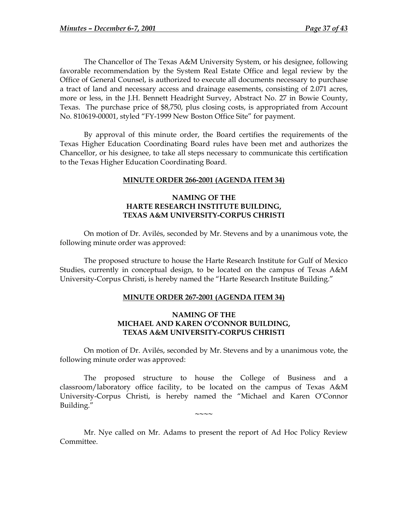<span id="page-42-0"></span>The Chancellor of The Texas A&M University System, or his designee, following favorable recommendation by the System Real Estate Office and legal review by the Office of General Counsel, is authorized to execute all documents necessary to purchase a tract of land and necessary access and drainage easements, consisting of 2.071 acres, more or less, in the J.H. Bennett Headright Survey, Abstract No. 27 in Bowie County, Texas. The purchase price of \$8,750, plus closing costs, is appropriated from Account No. 810619-00001, styled "FY-1999 New Boston Office Site" for payment.

By approval of this minute order, the Board certifies the requirements of the Texas Higher Education Coordinating Board rules have been met and authorizes the Chancellor, or his designee, to take all steps necessary to communicate this certification to the Texas Higher Education Coordinating Board.

### **MINUTE ORDER 266-2001 (AGENDA ITEM 34)**

# **NAMING OF THE HARTE RESEARCH INSTITUTE BUILDING, TEXAS A&M UNIVERSITY-CORPUS CHRISTI**

On motion of Dr. Avilés, seconded by Mr. Stevens and by a unanimous vote, the following minute order was approved:

The proposed structure to house the Harte Research Institute for Gulf of Mexico Studies, currently in conceptual design, to be located on the campus of Texas A&M University-Corpus Christi, is hereby named the "Harte Research Institute Building."

### **MINUTE ORDER 267-2001 (AGENDA ITEM 34)**

### **NAMING OF THE MICHAEL AND KAREN O'CONNOR BUILDING, TEXAS A&M UNIVERSITY-CORPUS CHRISTI**

On motion of Dr. Avilés, seconded by Mr. Stevens and by a unanimous vote, the following minute order was approved:

The proposed structure to house the College of Business and a classroom/laboratory office facility, to be located on the campus of Texas A&M University-Corpus Christi, is hereby named the "Michael and Karen O'Connor Building."

**~~~~** 

Mr. Nye called on Mr. Adams to present the report of Ad Hoc Policy Review Committee.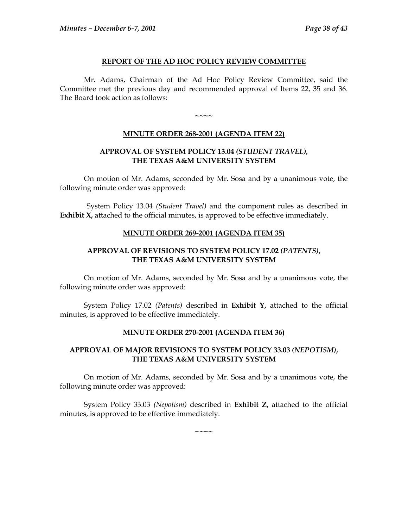### **REPORT OF THE AD HOC POLICY REVIEW COMMITTEE**

<span id="page-43-0"></span>Mr. Adams, Chairman of the Ad Hoc Policy Review Committee, said the Committee met the previous day and recommended approval of Items 22, 35 and 36. The Board took action as follows:

# **MINUTE ORDER 268-2001 (AGENDA ITEM 22)**

**~~~~** 

## **APPROVAL OF SYSTEM POLICY 13.04** *(STUDENT TRAVEL),*  **THE TEXAS A&M UNIVERSITY SYSTEM**

On motion of Mr. Adams, seconded by Mr. Sosa and by a unanimous vote, the following minute order was approved:

System Policy 13.04 *(Student Travel)* and the component rules as described in **Exhibit X**, attached to the official minutes, is approved to be effective immediately.

## **MINUTE ORDER 269-2001 (AGENDA ITEM 35)**

# **APPROVAL OF REVISIONS TO SYSTEM POLICY 17.02** *(PATENTS)***, THE TEXAS A&M UNIVERSITY SYSTEM**

On motion of Mr. Adams, seconded by Mr. Sosa and by a unanimous vote, the following minute order was approved:

System Policy 17.02 *(Patents)* described in **Exhibit Y,** attached to the official minutes, is approved to be effective immediately.

### **MINUTE ORDER 270-2001 (AGENDA ITEM 36)**

# **APPROVAL OF MAJOR REVISIONS TO SYSTEM POLICY 33.03** *(NEPOTISM)***, THE TEXAS A&M UNIVERSITY SYSTEM**

On motion of Mr. Adams, seconded by Mr. Sosa and by a unanimous vote, the following minute order was approved:

System Policy 33.03 *(Nepotism)* described in **Exhibit Z,** attached to the official minutes, is approved to be effective immediately.

**~~~~**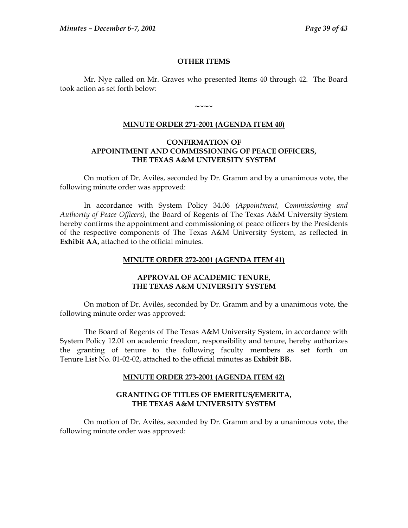### **OTHER ITEMS**

<span id="page-44-0"></span>Mr. Nye called on Mr. Graves who presented Items 40 through 42. The Board took action as set forth below:

**~~~~** 

## **MINUTE ORDER 271-2001 (AGENDA ITEM 40)**

### **CONFIRMATION OF APPOINTMENT AND COMMISSIONING OF PEACE OFFICERS, THE TEXAS A&M UNIVERSITY SYSTEM**

On motion of Dr. Avilés, seconded by Dr. Gramm and by a unanimous vote, the following minute order was approved:

In accordance with System Policy 34.06 *(Appointment, Commissioning and Authority of Peace Officers)*, the Board of Regents of The Texas A&M University System hereby confirms the appointment and commissioning of peace officers by the Presidents of the respective components of The Texas A&M University System, as reflected in **Exhibit AA,** attached to the official minutes.

### **MINUTE ORDER 272-2001 (AGENDA ITEM 41)**

## **APPROVAL OF ACADEMIC TENURE, THE TEXAS A&M UNIVERSITY SYSTEM**

On motion of Dr. Avilés, seconded by Dr. Gramm and by a unanimous vote, the following minute order was approved:

The Board of Regents of The Texas A&M University System, in accordance with System Policy 12.01 on academic freedom, responsibility and tenure, hereby authorizes the granting of tenure to the following faculty members as set forth on Tenure List No. 01-02-02, attached to the official minutes as **Exhibit BB.**

### **MINUTE ORDER 273-2001 (AGENDA ITEM 42)**

### **GRANTING OF TITLES OF EMERITUS/EMERITA, THE TEXAS A&M UNIVERSITY SYSTEM**

On motion of Dr. Avilés, seconded by Dr. Gramm and by a unanimous vote, the following minute order was approved: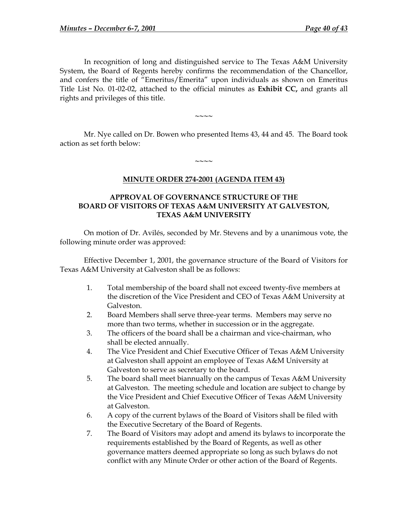<span id="page-45-0"></span>In recognition of long and distinguished service to The Texas A&M University System, the Board of Regents hereby confirms the recommendation of the Chancellor, and confers the title of "Emeritus/Emerita" upon individuals as shown on Emeritus Title List No. 01-02-02, attached to the official minutes as **Exhibit CC,** and grants all rights and privileges of this title.

Mr. Nye called on Dr. Bowen who presented Items 43, 44 and 45. The Board took action as set forth below:

**~~~~** 

**MINUTE ORDER 274-2001 (AGENDA ITEM 43)**

**~~~~** 

# **APPROVAL OF GOVERNANCE STRUCTURE OF THE BOARD OF VISITORS OF TEXAS A&M UNIVERSITY AT GALVESTON, TEXAS A&M UNIVERSITY**

On motion of Dr. Avilés, seconded by Mr. Stevens and by a unanimous vote, the following minute order was approved:

Effective December 1, 2001, the governance structure of the Board of Visitors for Texas A&M University at Galveston shall be as follows:

- 1. Total membership of the board shall not exceed twenty-five members at the discretion of the Vice President and CEO of Texas A&M University at Galveston.
- 2. Board Members shall serve three-year terms. Members may serve no more than two terms, whether in succession or in the aggregate.
- 3. The officers of the board shall be a chairman and vice-chairman, who shall be elected annually.
- 4. The Vice President and Chief Executive Officer of Texas A&M University at Galveston shall appoint an employee of Texas A&M University at Galveston to serve as secretary to the board.
- 5. The board shall meet biannually on the campus of Texas A&M University at Galveston. The meeting schedule and location are subject to change by the Vice President and Chief Executive Officer of Texas A&M University at Galveston.
- 6. A copy of the current bylaws of the Board of Visitors shall be filed with the Executive Secretary of the Board of Regents.
- 7. The Board of Visitors may adopt and amend its bylaws to incorporate the requirements established by the Board of Regents, as well as other governance matters deemed appropriate so long as such bylaws do not conflict with any Minute Order or other action of the Board of Regents.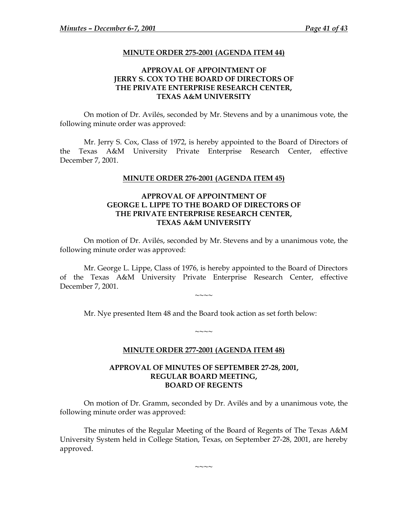### **MINUTE ORDER 275-2001 (AGENDA ITEM 44)**

## **APPROVAL OF APPOINTMENT OF JERRY S. COX TO THE BOARD OF DIRECTORS OF THE PRIVATE ENTERPRISE RESEARCH CENTER, TEXAS A&M UNIVERSITY**

<span id="page-46-0"></span>On motion of Dr. Avilés, seconded by Mr. Stevens and by a unanimous vote, the following minute order was approved:

Mr. Jerry S. Cox, Class of 1972, is hereby appointed to the Board of Directors of the Texas A&M University Private Enterprise Research Center, effective December 7, 2001.

### **MINUTE ORDER 276-2001 (AGENDA ITEM 45)**

## **APPROVAL OF APPOINTMENT OF GEORGE L. LIPPE TO THE BOARD OF DIRECTORS OF THE PRIVATE ENTERPRISE RESEARCH CENTER, TEXAS A&M UNIVERSITY**

On motion of Dr. Avilés, seconded by Mr. Stevens and by a unanimous vote, the following minute order was approved:

Mr. George L. Lippe, Class of 1976, is hereby appointed to the Board of Directors of the Texas A&M University Private Enterprise Research Center, effective December 7, 2001.

 $\sim\sim\sim\sim$ 

Mr. Nye presented Item 48 and the Board took action as set forth below:

# **MINUTE ORDER 277-2001 (AGENDA ITEM 48)**

 $\sim\sim\sim\sim$ 

## **APPROVAL OF MINUTES OF SEPTEMBER 27-28, 2001, REGULAR BOARD MEETING, BOARD OF REGENTS**

On motion of Dr. Gramm, seconded by Dr. Avilés and by a unanimous vote, the following minute order was approved:

The minutes of the Regular Meeting of the Board of Regents of The Texas A&M University System held in College Station, Texas, on September 27-28, 2001, are hereby approved.

 $\sim\sim\sim\sim$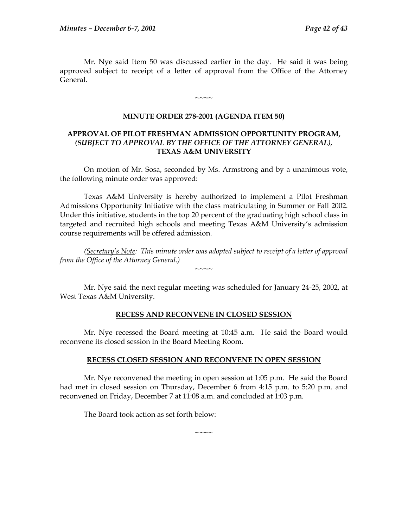<span id="page-47-0"></span> Mr. Nye said Item 50 was discussed earlier in the day. He said it was being approved subject to receipt of a letter of approval from the Office of the Attorney General.

### **MINUTE ORDER 278-2001 (AGENDA ITEM 50)**

 $\sim\sim\sim\sim$ 

### **APPROVAL OF PILOT FRESHMAN ADMISSION OPPORTUNITY PROGRAM,**  *(SUBJECT TO APPROVAL BY THE OFFICE OF THE ATTORNEY GENERAL),*  **TEXAS A&M UNIVERSITY**

On motion of Mr. Sosa, seconded by Ms. Armstrong and by a unanimous vote, the following minute order was approved:

Texas A&M University is hereby authorized to implement a Pilot Freshman Admissions Opportunity Initiative with the class matriculating in Summer or Fall 2002. Under this initiative, students in the top 20 percent of the graduating high school class in targeted and recruited high schools and meeting Texas A&M University's admission course requirements will be offered admission.

*(Secretary's Note: This minute order was adopted subject to receipt of a letter of approval from the Office of the Attorney General.)* 

 $\sim$  $\sim$  $\sim$ 

Mr. Nye said the next regular meeting was scheduled for January 24-25, 2002, at West Texas A&M University.

#### **RECESS AND RECONVENE IN CLOSED SESSION**

 Mr. Nye recessed the Board meeting at 10:45 a.m. He said the Board would reconvene its closed session in the Board Meeting Room.

#### **RECESS CLOSED SESSION AND RECONVENE IN OPEN SESSION**

 Mr. Nye reconvened the meeting in open session at 1:05 p.m. He said the Board had met in closed session on Thursday, December 6 from 4:15 p.m. to 5:20 p.m. and reconvened on Friday, December 7 at 11:08 a.m. and concluded at 1:03 p.m.

~~~~~~

The Board took action as set forth below: